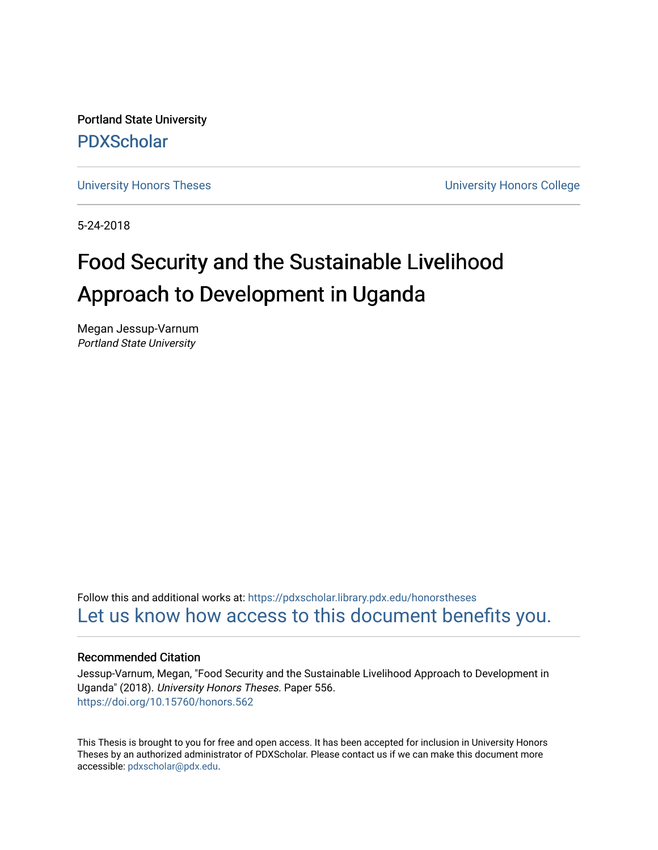Portland State University [PDXScholar](https://pdxscholar.library.pdx.edu/)

[University Honors Theses](https://pdxscholar.library.pdx.edu/honorstheses) **University Honors College** 

5-24-2018

# Food Security and the Sustainable Livelihood Approach to Development in Uganda

Megan Jessup-Varnum Portland State University

Follow this and additional works at: [https://pdxscholar.library.pdx.edu/honorstheses](https://pdxscholar.library.pdx.edu/honorstheses?utm_source=pdxscholar.library.pdx.edu%2Fhonorstheses%2F556&utm_medium=PDF&utm_campaign=PDFCoverPages)  [Let us know how access to this document benefits you.](http://library.pdx.edu/services/pdxscholar-services/pdxscholar-feedback/) 

# Recommended Citation

Jessup-Varnum, Megan, "Food Security and the Sustainable Livelihood Approach to Development in Uganda" (2018). University Honors Theses. Paper 556. <https://doi.org/10.15760/honors.562>

This Thesis is brought to you for free and open access. It has been accepted for inclusion in University Honors Theses by an authorized administrator of PDXScholar. Please contact us if we can make this document more accessible: [pdxscholar@pdx.edu.](mailto:pdxscholar@pdx.edu)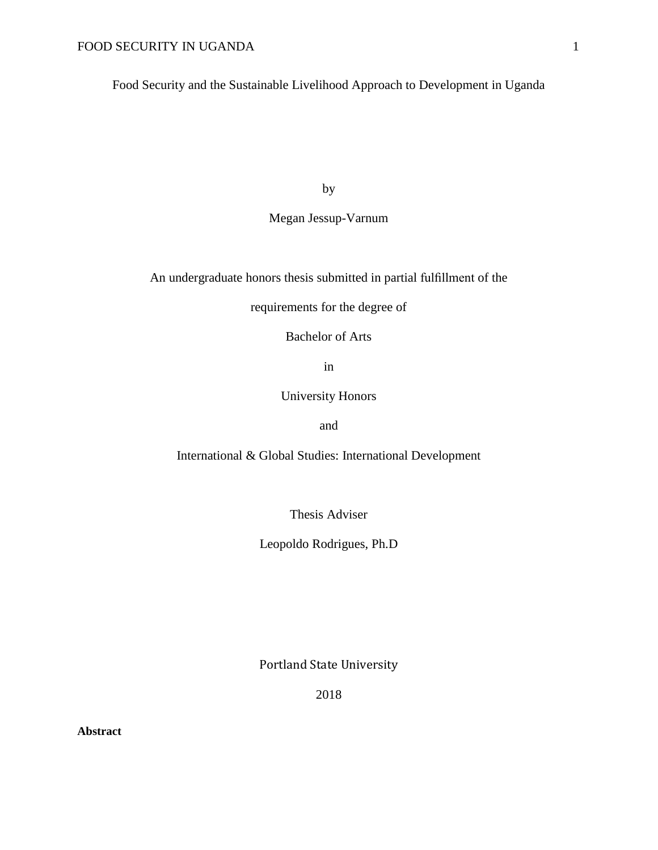Food Security and the Sustainable Livelihood Approach to Development in Uganda

by

# Megan Jessup-Varnum

An undergraduate honors thesis submitted in partial fulfillment of the

requirements for the degree of

Bachelor of Arts

in

University Honors

and

International & Global Studies: International Development

Thesis Adviser

Leopoldo Rodrigues, Ph.D

Portland State University

2018

**Abstract**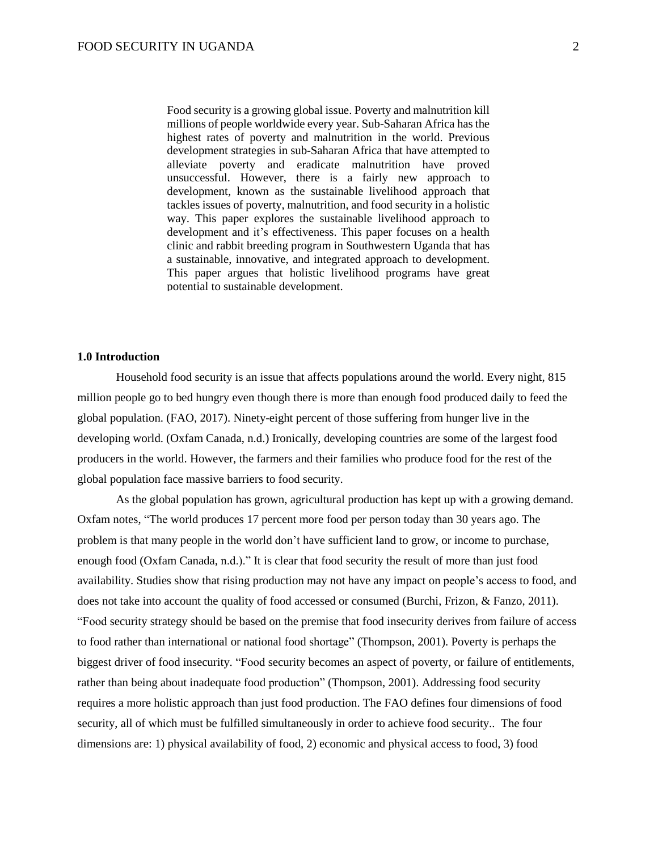Food security is a growing global issue. Poverty and malnutrition kill millions of people worldwide every year. Sub-Saharan Africa has the highest rates of poverty and malnutrition in the world. Previous development strategies in sub-Saharan Africa that have attempted to alleviate poverty and eradicate malnutrition have proved unsuccessful. However, there is a fairly new approach to development, known as the sustainable livelihood approach that tackles issues of poverty, malnutrition, and food security in a holistic way. This paper explores the sustainable livelihood approach to development and it's effectiveness. This paper focuses on a health clinic and rabbit breeding program in Southwestern Uganda that has a sustainable, innovative, and integrated approach to development. This paper argues that holistic livelihood programs have great potential to sustainable development.

#### **1.0 Introduction**

Household food security is an issue that affects populations around the world. Every night, 815 million people go to bed hungry even though there is more than enough food produced daily to feed the global population. (FAO, 2017). Ninety-eight percent of those suffering from hunger live in the developing world. (Oxfam Canada, n.d.) Ironically, developing countries are some of the largest food producers in the world. However, the farmers and their families who produce food for the rest of the global population face massive barriers to food security.

As the global population has grown, agricultural production has kept up with a growing demand. Oxfam notes, "The world produces 17 percent more food per person today than 30 years ago. The problem is that many people in the world don't have sufficient land to grow, or income to purchase, enough food (Oxfam Canada, n.d.)." It is clear that food security the result of more than just food availability. Studies show that rising production may not have any impact on people's access to food, and does not take into account the quality of food accessed or consumed (Burchi, Frizon, & Fanzo, 2011). "Food security strategy should be based on the premise that food insecurity derives from failure of access to food rather than international or national food shortage" (Thompson, 2001). Poverty is perhaps the biggest driver of food insecurity. "Food security becomes an aspect of poverty, or failure of entitlements, rather than being about inadequate food production" (Thompson, 2001). Addressing food security requires a more holistic approach than just food production. The FAO defines four [dimensions](http://www.fao.org/docrep/013/al936e/al936e00.pdf) of food [security,](http://www.fao.org/docrep/013/al936e/al936e00.pdf) all of which must be fulfilled simultaneously in order to achieve food security.. The four dimensions are: 1) physical availability of food, 2) economic and physical access to food, 3) food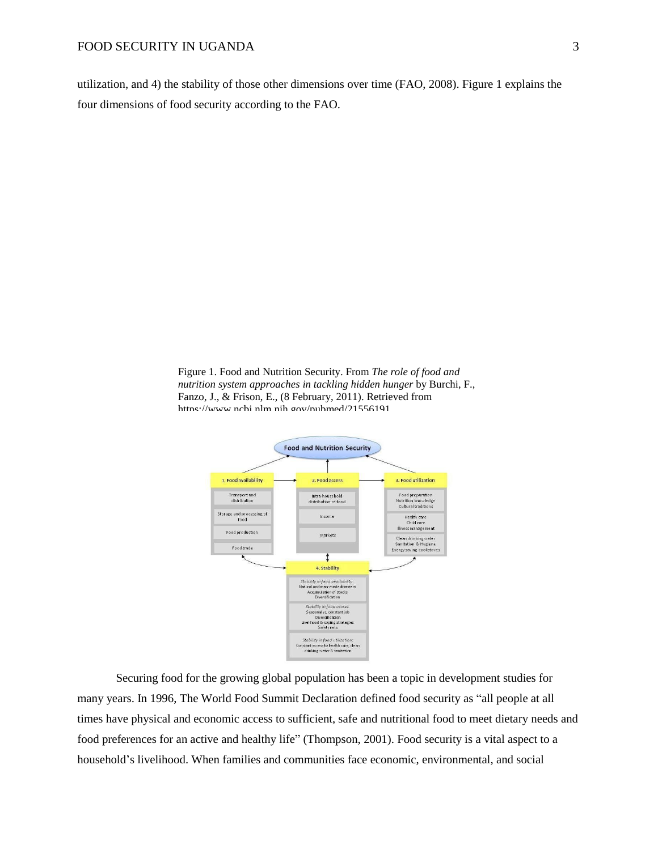utilization, and 4) the stability of those other dimensions over time (FAO, 2008). Figure 1 explains the four dimensions of food security according to the FAO.

Figure 1. Food and Nutrition Security. From *The role of food and nutrition system approaches in tackling hidden hunger* by Burchi, F., Fanzo, J., & Frison, E., (8 February, 2011). Retrieved from httns://www.nchi.nlm.nih.gov/nuhmed/21556191



Securing food for the growing global population has been a topic in development studies for many years. In 1996, The World Food Summit Declaration defined food security as "all people at all times have physical and economic access to sufficient, safe and nutritional food to meet dietary needs and food preferences for an active and healthy life" (Thompson, 2001). Food security is a vital aspect to a household's livelihood. When families and communities face economic, environmental, and social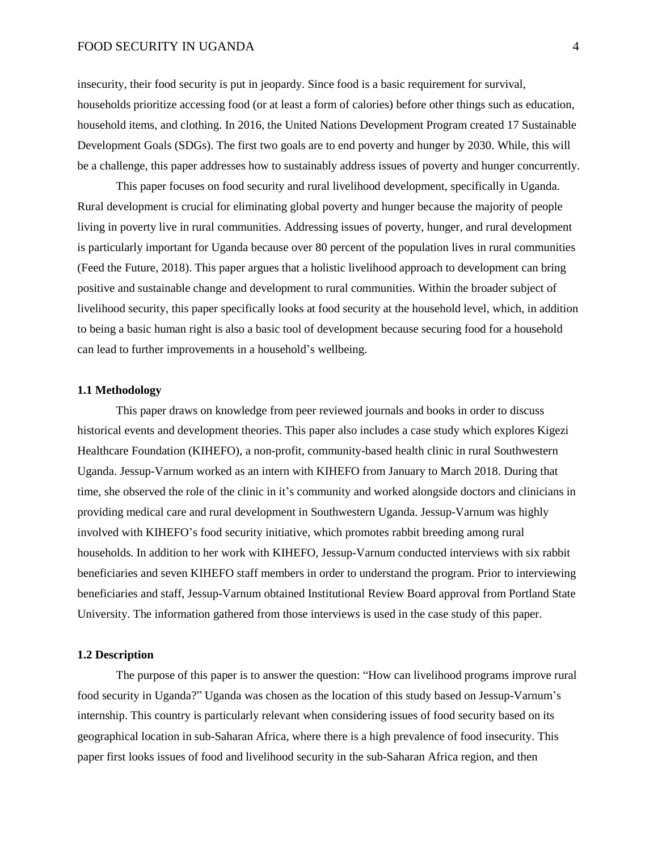insecurity, their food security is put in jeopardy. Since food is a basic requirement for survival, households prioritize accessing food (or at least a form of calories) before other things such as education, household items, and clothing. In 2016, the United Nations Development Program created 17 Sustainable Development Goals (SDGs). The first two goals are to end poverty and hunger by 2030. While, this will be a challenge, this paper addresses how to sustainably address issues of poverty and hunger concurrently.

This paper focuses on food security and rural livelihood development, specifically in Uganda. Rural development is crucial for eliminating global poverty and hunger because the majority of people living in poverty live in rural communities. Addressing issues of poverty, hunger, and rural development is particularly important for Uganda because over 80 percent of the population lives in rural communities (Feed the Future, 2018). This paper argues that a holistic livelihood approach to development can bring positive and sustainable change and development to rural communities. Within the broader subject of livelihood security, this paper specifically looks at food security at the household level, which, in addition to being a basic human right is also a basic tool of development because securing food for a household can lead to further improvements in a household's wellbeing.

#### **1.1 Methodology**

This paper draws on knowledge from peer reviewed journals and books in order to discuss historical events and development theories. This paper also includes a case study which explores Kigezi Healthcare Foundation (KIHEFO), a non-profit, community-based health clinic in rural Southwestern Uganda. Jessup-Varnum worked as an intern with KIHEFO from January to March 2018. During that time, she observed the role of the clinic in it's community and worked alongside doctors and clinicians in providing medical care and rural development in Southwestern Uganda. Jessup-Varnum was highly involved with KIHEFO's food security initiative, which promotes rabbit breeding among rural households. In addition to her work with KIHEFO, Jessup-Varnum conducted interviews with six rabbit beneficiaries and seven KIHEFO staff members in order to understand the program. Prior to interviewing beneficiaries and staff, Jessup-Varnum obtained Institutional Review Board approval from Portland State University. The information gathered from those interviews is used in the case study of this paper.

#### **1.2 Description**

The purpose of this paper is to answer the question: "How can livelihood programs improve rural food security in Uganda?" Uganda was chosen as the location of this study based on Jessup-Varnum's internship. This country is particularly relevant when considering issues of food security based on its geographical location in sub-Saharan Africa, where there is a high prevalence of food insecurity. This paper first looks issues of food and livelihood security in the sub-Saharan Africa region, and then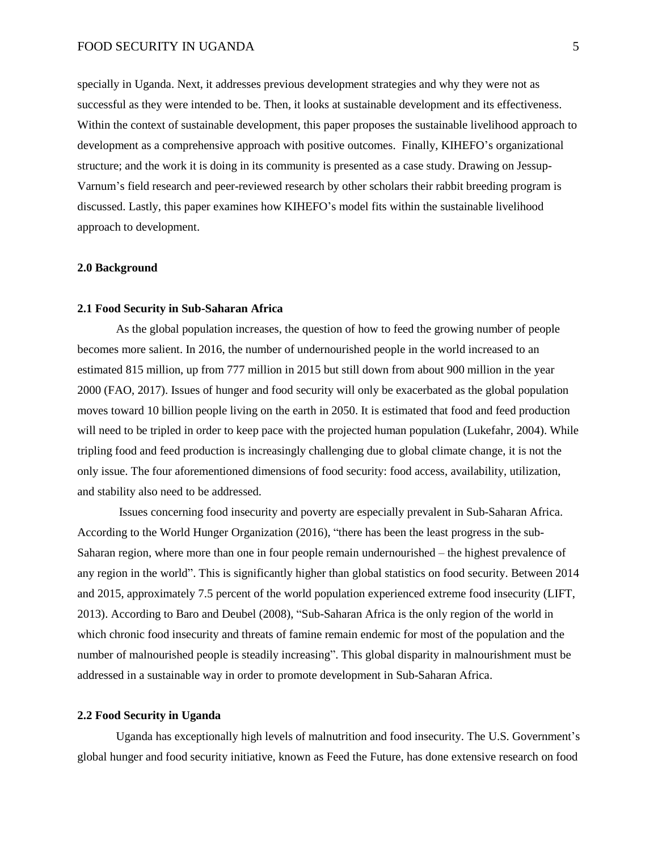specially in Uganda. Next, it addresses previous development strategies and why they were not as successful as they were intended to be. Then, it looks at sustainable development and its effectiveness. Within the context of sustainable development, this paper proposes the sustainable livelihood approach to development as a comprehensive approach with positive outcomes. Finally, KIHEFO's organizational structure; and the work it is doing in its community is presented as a case study. Drawing on Jessup-Varnum's field research and peer-reviewed research by other scholars their rabbit breeding program is discussed. Lastly, this paper examines how KIHEFO's model fits within the sustainable livelihood approach to development.

#### **2.0 Background**

#### **2.1 Food Security in Sub-Saharan Africa**

As the global population increases, the question of how to feed the growing number of people becomes more salient. In 2016, the number of undernourished people in the world increased to an estimated 815 million, up from 777 million in 2015 but still down from about 900 million in the year 2000 (FAO, 2017). Issues of hunger and food security will only be exacerbated as the global population moves toward 10 billion people living on the earth in 2050. It is estimated that food and feed production will need to be tripled in order to keep pace with the projected human population (Lukefahr, 2004). While tripling food and feed production is increasingly challenging due to global climate change, it is not the only issue. The four aforementioned dimensions of food security: food access, availability, utilization, and stability also need to be addressed.

Issues concerning food insecurity and poverty are especially prevalent in Sub-Saharan Africa. According to the World Hunger Organization (2016), "there has been the least progress in the sub-Saharan region, where more than one in four people remain undernourished – the highest prevalence of any region in the world". This is significantly higher than global statistics on food security. Between 2014 and 2015, approximately 7.5 percent of the world population experienced extreme food insecurity (LIFT, 2013). According to Baro and Deubel (2008), "Sub-Saharan Africa is the only region of the world in which chronic food insecurity and threats of famine remain endemic for most of the population and the number of malnourished people is steadily increasing". This global disparity in malnourishment must be addressed in a sustainable way in order to promote development in Sub-Saharan Africa.

# **2.2 Food Security in Uganda**

Uganda has exceptionally high levels of malnutrition and food insecurity. The U.S. Government's global hunger and food security initiative, known as Feed the Future, has done extensive research on food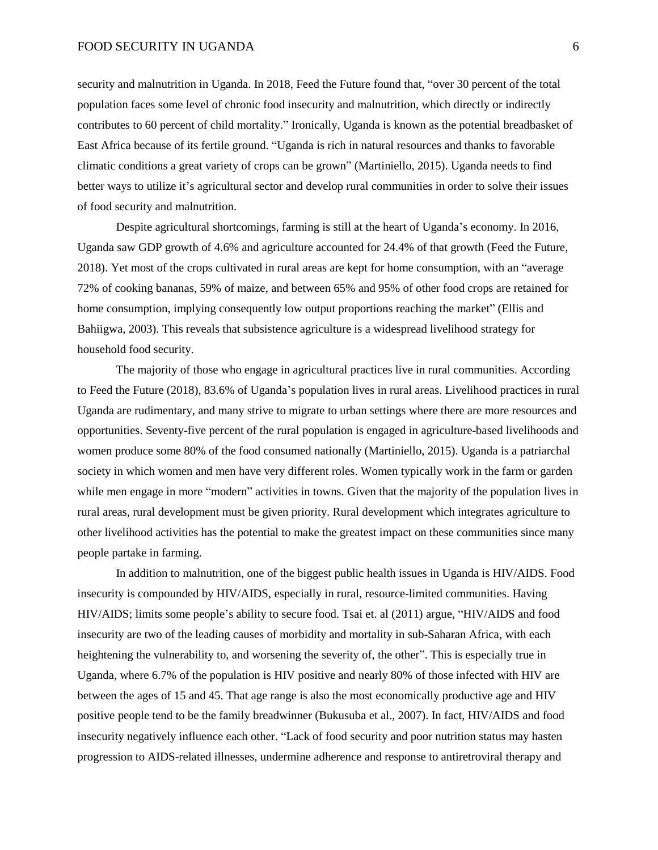security and malnutrition in Uganda. In 2018, Feed the Future found that, "over 30 percent of the total population faces some level of chronic food insecurity and malnutrition, which directly or indirectly contributes to 60 percent of child mortality." Ironically, Uganda is known as the potential breadbasket of East Africa because of its fertile ground. "Uganda is rich in natural resources and thanks to favorable climatic conditions a great variety of crops can be grown" (Martiniello, 2015). Uganda needs to find better ways to utilize it's agricultural sector and develop rural communities in order to solve their issues of food security and malnutrition.

Despite agricultural shortcomings, farming is still at the heart of Uganda's economy. In 2016, Uganda saw GDP growth of 4.6% and agriculture accounted for 24.4% of that growth (Feed the Future, 2018). Yet most of the crops cultivated in rural areas are kept for home consumption, with an "average 72% of cooking bananas, 59% of maize, and between 65% and 95% of other food crops are retained for home consumption, implying consequently low output proportions reaching the market" (Ellis and Bahiigwa, 2003). This reveals that subsistence agriculture is a widespread livelihood strategy for household food security.

The majority of those who engage in agricultural practices live in rural communities. According to Feed the Future (2018), 83.6% of Uganda's population lives in rural areas. Livelihood practices in rural Uganda are rudimentary, and many strive to migrate to urban settings where there are more resources and opportunities. Seventy-five percent of the rural population is engaged in agriculture-based livelihoods and women produce some 80% of the food consumed nationally (Martiniello, 2015). Uganda is a patriarchal society in which women and men have very different roles. Women typically work in the farm or garden while men engage in more "modern" activities in towns. Given that the majority of the population lives in rural areas, rural development must be given priority. Rural development which integrates agriculture to other livelihood activities has the potential to make the greatest impact on these communities since many people partake in farming.

In addition to malnutrition, one of the biggest public health issues in Uganda is HIV/AIDS. Food insecurity is compounded by HIV/AIDS, especially in rural, resource-limited communities. Having HIV/AIDS; limits some people's ability to secure food. Tsai et. al (2011) argue, "HIV/AIDS and food insecurity are two of the leading causes of morbidity and mortality in sub-Saharan Africa, with each heightening the vulnerability to, and worsening the severity of, the other". This is especially true in Uganda, where 6.7% of the population is HIV positive and nearly 80% of those infected with HIV are between the ages of 15 and 45. That age range is also the most economically productive age and HIV positive people tend to be the family breadwinner (Bukusuba et al., 2007). In fact, HIV/AIDS and food insecurity negatively influence each other. "Lack of food security and poor nutrition status may hasten progression to AIDS-related illnesses, undermine adherence and response to antiretroviral therapy and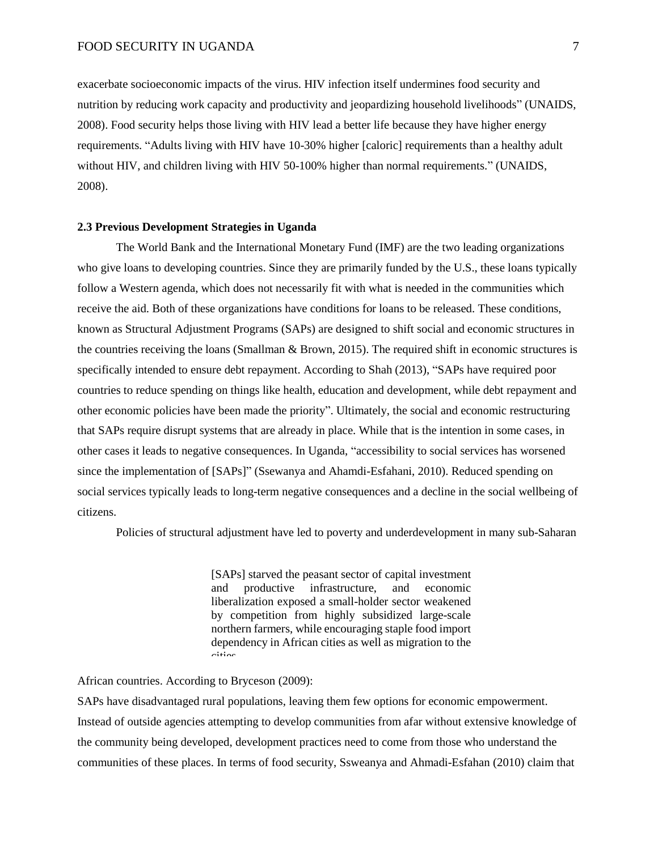exacerbate socioeconomic impacts of the virus. HIV infection itself undermines food security and nutrition by reducing work capacity and productivity and jeopardizing household livelihoods" (UNAIDS, 2008). Food security helps those living with HIV lead a better life because they have higher energy requirements. "Adults living with HIV have 10-30% higher [caloric] requirements than a healthy adult without HIV, and children living with HIV 50-100% higher than normal requirements." (UNAIDS, 2008).

#### **2.3 Previous Development Strategies in Uganda**

The World Bank and the International Monetary Fund (IMF) are the two leading organizations who give loans to developing countries. Since they are primarily funded by the U.S., these loans typically follow a Western agenda, which does not necessarily fit with what is needed in the communities which receive the aid. Both of these organizations have conditions for loans to be released. These conditions, known as Structural Adjustment Programs (SAPs) are designed to shift social and economic structures in the countries receiving the loans (Smallman & Brown, 2015). The required shift in economic structures is specifically intended to ensure debt repayment. According to Shah (2013), "SAPs have required poor countries to reduce spending on things like health, education and development, while debt repayment and other economic policies have been made the priority". Ultimately, the social and economic restructuring that SAPs require disrupt systems that are already in place. While that is the intention in some cases, in other cases it leads to negative consequences. In Uganda, "accessibility to social services has worsened since the implementation of [SAPs]" (Ssewanya and Ahamdi-Esfahani, 2010). Reduced spending on social services typically leads to long-term negative consequences and a decline in the social wellbeing of citizens.

Policies of structural adjustment have led to poverty and underdevelopment in many sub-Saharan

[SAPs] starved the peasant sector of capital investment and productive infrastructure, and economic liberalization exposed a small-holder sector weakened by competition from highly subsidized large-scale northern farmers, while encouraging staple food import dependency in African cities as well as migration to the cities.

#### African countries. According to Bryceson (2009):

SAPs have disadvantaged rural populations, leaving them few options for economic empowerment. Instead of outside agencies attempting to develop communities from afar without extensive knowledge of the community being developed, development practices need to come from those who understand the communities of these places. In terms of food security, Ssweanya and Ahmadi-Esfahan (2010) claim that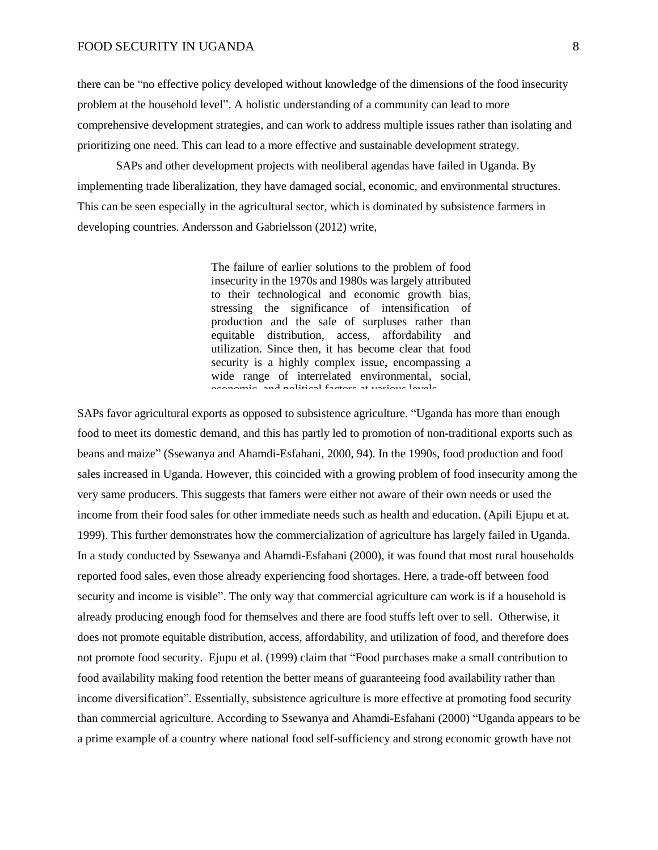there can be "no effective policy developed without knowledge of the dimensions of the food insecurity problem at the household level". A holistic understanding of a community can lead to more comprehensive development strategies, and can work to address multiple issues rather than isolating and prioritizing one need. This can lead to a more effective and sustainable development strategy.

SAPs and other development projects with neoliberal agendas have failed in Uganda. By implementing trade liberalization, they have damaged social, economic, and environmental structures. This can be seen especially in the agricultural sector, which is dominated by subsistence farmers in developing countries. Andersson and Gabrielsson (2012) write,

> The failure of earlier solutions to the problem of food insecurity in the 1970s and 1980s was largely attributed to their technological and economic growth bias, stressing the significance of intensification of production and the sale of surpluses rather than equitable distribution, access, affordability and utilization. Since then, it has become clear that food security is a highly complex issue, encompassing a wide range of interrelated environmental, social, economic, and political factors at various levels.

SAPs favor agricultural exports as opposed to subsistence agriculture. "Uganda has more than enough food to meet its domestic demand, and this has partly led to promotion of non-traditional exports such as beans and maize" (Ssewanya and Ahamdi-Esfahani, 2000, 94). In the 1990s, food production and food sales increased in Uganda. However, this coincided with a growing problem of food insecurity among the very same producers. This suggests that famers were either not aware of their own needs or used the income from their food sales for other immediate needs such as health and education. (Apili Ejupu et at. 1999). This further demonstrates how the commercialization of agriculture has largely failed in Uganda. In a study conducted by Ssewanya and Ahamdi-Esfahani (2000), it was found that most rural households reported food sales, even those already experiencing food shortages. Here, a trade-off between food security and income is visible". The only way that commercial agriculture can work is if a household is already producing enough food for themselves and there are food stuffs left over to sell. Otherwise, it does not promote equitable distribution, access, affordability, and utilization of food, and therefore does not promote food security. Ejupu et al. (1999) claim that "Food purchases make a small contribution to food availability making food retention the better means of guaranteeing food availability rather than income diversification". Essentially, subsistence agriculture is more effective at promoting food security than commercial agriculture. According to Ssewanya and Ahamdi-Esfahani (2000) "Uganda appears to be a prime example of a country where national food self-sufficiency and strong economic growth have not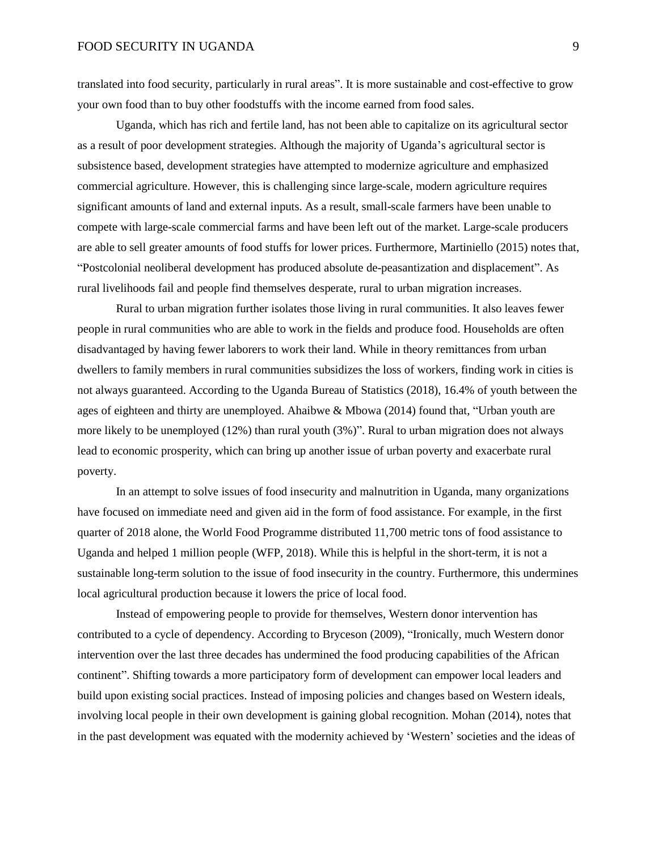translated into food security, particularly in rural areas". It is more sustainable and cost-effective to grow your own food than to buy other foodstuffs with the income earned from food sales.

Uganda, which has rich and fertile land, has not been able to capitalize on its agricultural sector as a result of poor development strategies. Although the majority of Uganda's agricultural sector is subsistence based, development strategies have attempted to modernize agriculture and emphasized commercial agriculture. However, this is challenging since large-scale, modern agriculture requires significant amounts of land and external inputs. As a result, small-scale farmers have been unable to compete with large-scale commercial farms and have been left out of the market. Large-scale producers are able to sell greater amounts of food stuffs for lower prices. Furthermore, Martiniello (2015) notes that, "Postcolonial neoliberal development has produced absolute de-peasantization and displacement". As rural livelihoods fail and people find themselves desperate, rural to urban migration increases.

Rural to urban migration further isolates those living in rural communities. It also leaves fewer people in rural communities who are able to work in the fields and produce food. Households are often disadvantaged by having fewer laborers to work their land. While in theory remittances from urban dwellers to family members in rural communities subsidizes the loss of workers, finding work in cities is not always guaranteed. According to the Uganda Bureau of Statistics (2018), 16.4% of youth between the ages of eighteen and thirty are unemployed. Ahaibwe & Mbowa (2014) found that, "Urban youth are more likely to be unemployed (12%) than rural youth (3%)". Rural to urban migration does not always lead to economic prosperity, which can bring up another issue of urban poverty and exacerbate rural poverty.

In an attempt to solve issues of food insecurity and malnutrition in Uganda, many organizations have focused on immediate need and given aid in the form of food assistance. For example, in the first quarter of 2018 alone, the World Food Programme distributed 11,700 metric tons of food assistance to Uganda and helped 1 million people (WFP, 2018). While this is helpful in the short-term, it is not a sustainable long-term solution to the issue of food insecurity in the country. Furthermore, this undermines local agricultural production because it lowers the price of local food.

Instead of empowering people to provide for themselves, Western donor intervention has contributed to a cycle of dependency. According to Bryceson (2009), "Ironically, much Western donor intervention over the last three decades has undermined the food producing capabilities of the African continent". Shifting towards a more participatory form of development can empower local leaders and build upon existing social practices. Instead of imposing policies and changes based on Western ideals, involving local people in their own development is gaining global recognition. Mohan (2014), notes that in the past development was equated with the modernity achieved by 'Western' societies and the ideas of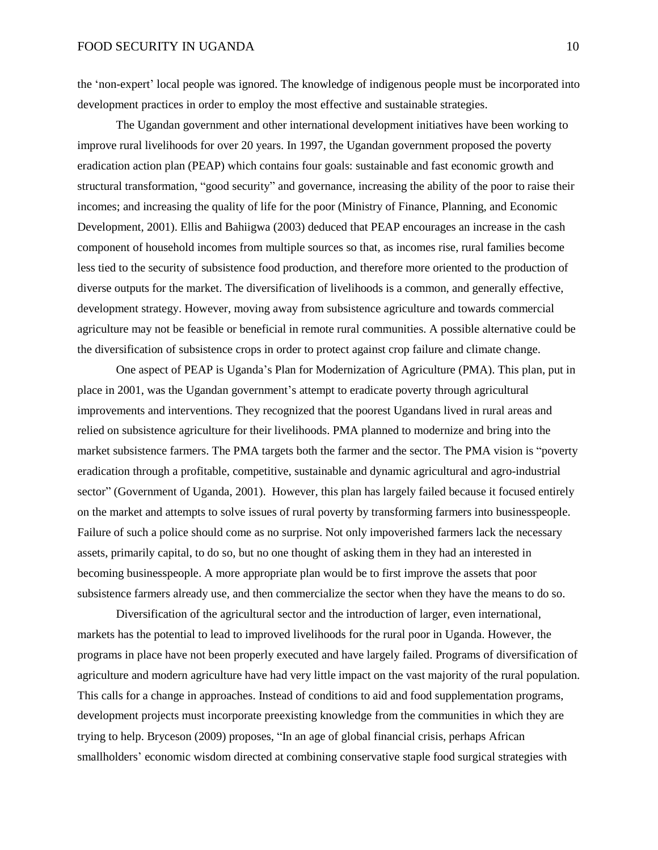the 'non-expert' local people was ignored. The knowledge of indigenous people must be incorporated into development practices in order to employ the most effective and sustainable strategies.

The Ugandan government and other international development initiatives have been working to improve rural livelihoods for over 20 years. In 1997, the Ugandan government proposed the poverty eradication action plan (PEAP) which contains four goals: sustainable and fast economic growth and structural transformation, "good security" and governance, increasing the ability of the poor to raise their incomes; and increasing the quality of life for the poor (Ministry of Finance, Planning, and Economic Development, 2001). Ellis and Bahiigwa (2003) deduced that PEAP encourages an increase in the cash component of household incomes from multiple sources so that, as incomes rise, rural families become less tied to the security of subsistence food production, and therefore more oriented to the production of diverse outputs for the market. The diversification of livelihoods is a common, and generally effective, development strategy. However, moving away from subsistence agriculture and towards commercial agriculture may not be feasible or beneficial in remote rural communities. A possible alternative could be the diversification of subsistence crops in order to protect against crop failure and climate change.

One aspect of PEAP is Uganda's Plan for Modernization of Agriculture (PMA). This plan, put in place in 2001, was the Ugandan government's attempt to eradicate poverty through agricultural improvements and interventions. They recognized that the poorest Ugandans lived in rural areas and relied on subsistence agriculture for their livelihoods. PMA planned to modernize and bring into the market subsistence farmers. The PMA targets both the farmer and the sector. The PMA vision is "poverty eradication through a profitable, competitive, sustainable and dynamic agricultural and agro-industrial sector" (Government of Uganda, 2001). However, this plan has largely failed because it focused entirely on the market and attempts to solve issues of rural poverty by transforming farmers into businesspeople. Failure of such a police should come as no surprise. Not only impoverished farmers lack the necessary assets, primarily capital, to do so, but no one thought of asking them in they had an interested in becoming businesspeople. A more appropriate plan would be to first improve the assets that poor subsistence farmers already use, and then commercialize the sector when they have the means to do so.

Diversification of the agricultural sector and the introduction of larger, even international, markets has the potential to lead to improved livelihoods for the rural poor in Uganda. However, the programs in place have not been properly executed and have largely failed. Programs of diversification of agriculture and modern agriculture have had very little impact on the vast majority of the rural population. This calls for a change in approaches. Instead of conditions to aid and food supplementation programs, development projects must incorporate preexisting knowledge from the communities in which they are trying to help. Bryceson (2009) proposes, "In an age of global financial crisis, perhaps African smallholders' economic wisdom directed at combining conservative staple food surgical strategies with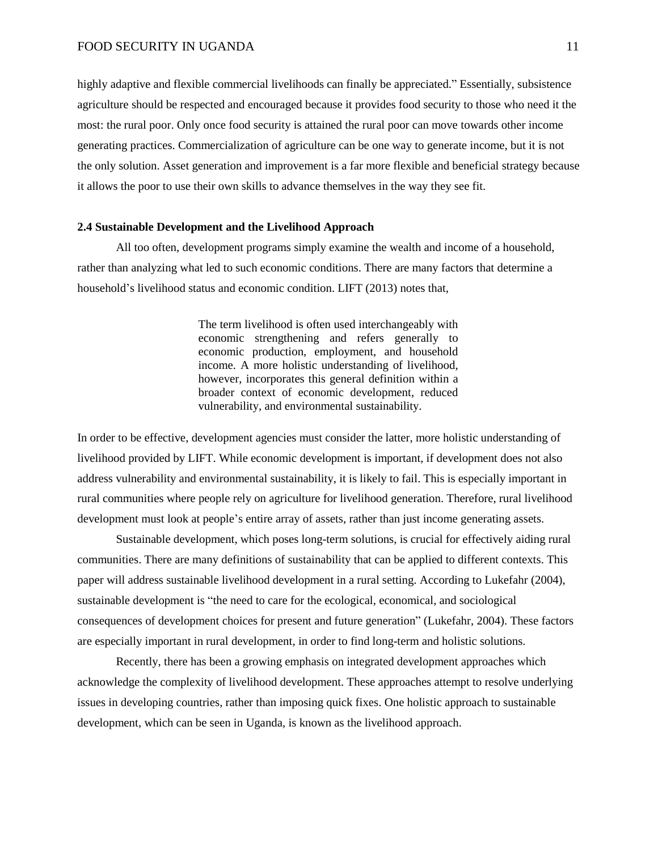highly adaptive and flexible commercial livelihoods can finally be appreciated." Essentially, subsistence agriculture should be respected and encouraged because it provides food security to those who need it the most: the rural poor. Only once food security is attained the rural poor can move towards other income generating practices. Commercialization of agriculture can be one way to generate income, but it is not the only solution. Asset generation and improvement is a far more flexible and beneficial strategy because it allows the poor to use their own skills to advance themselves in the way they see fit.

#### **2.4 Sustainable Development and the Livelihood Approach**

All too often, development programs simply examine the wealth and income of a household, rather than analyzing what led to such economic conditions. There are many factors that determine a household's livelihood status and economic condition. LIFT (2013) notes that,

> The term livelihood is often used interchangeably with economic strengthening and refers generally to economic production, employment, and household income. A more holistic understanding of livelihood, however, incorporates this general definition within a broader context of economic development, reduced vulnerability, and environmental sustainability.

In order to be effective, development agencies must consider the latter, more holistic understanding of livelihood provided by LIFT. While economic development is important, if development does not also address vulnerability and environmental sustainability, it is likely to fail. This is especially important in rural communities where people rely on agriculture for livelihood generation. Therefore, rural livelihood development must look at people's entire array of assets, rather than just income generating assets.

Sustainable development, which poses long-term solutions, is crucial for effectively aiding rural communities. There are many definitions of sustainability that can be applied to different contexts. This paper will address sustainable livelihood development in a rural setting. According to Lukefahr (2004), sustainable development is "the need to care for the ecological, economical, and sociological consequences of development choices for present and future generation" (Lukefahr, 2004). These factors are especially important in rural development, in order to find long-term and holistic solutions.

Recently, there has been a growing emphasis on integrated development approaches which acknowledge the complexity of livelihood development. These approaches attempt to resolve underlying issues in developing countries, rather than imposing quick fixes. One holistic approach to sustainable development, which can be seen in Uganda, is known as the livelihood approach.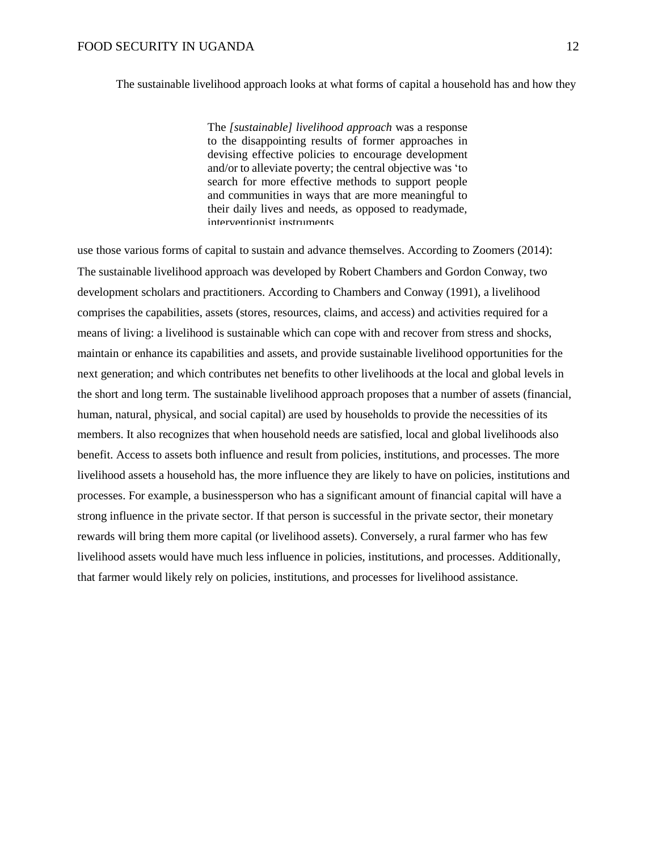The sustainable livelihood approach looks at what forms of capital a household has and how they

The *[sustainable] livelihood approach* was a response to the disappointing results of former approaches in devising effective policies to encourage development and/or to alleviate poverty; the central objective was 'to search for more effective methods to support people and communities in ways that are more meaningful to their daily lives and needs, as opposed to readymade, interventionist instruments.

use those various forms of capital to sustain and advance themselves. According to Zoomers (2014): The sustainable livelihood approach was developed by Robert Chambers and Gordon Conway, two development scholars and practitioners. According to Chambers and Conway (1991), a livelihood comprises the capabilities, assets (stores, resources, claims, and access) and activities required for a means of living: a livelihood is sustainable which can cope with and recover from stress and shocks, maintain or enhance its capabilities and assets, and provide sustainable livelihood opportunities for the next generation; and which contributes net benefits to other livelihoods at the local and global levels in the short and long term. The sustainable livelihood approach proposes that a number of assets (financial, human, natural, physical, and social capital) are used by households to provide the necessities of its members. It also recognizes that when household needs are satisfied, local and global livelihoods also benefit. Access to assets both influence and result from policies, institutions, and processes. The more livelihood assets a household has, the more influence they are likely to have on policies, institutions and processes. For example, a businessperson who has a significant amount of financial capital will have a strong influence in the private sector. If that person is successful in the private sector, their monetary rewards will bring them more capital (or livelihood assets). Conversely, a rural farmer who has few livelihood assets would have much less influence in policies, institutions, and processes. Additionally, that farmer would likely rely on policies, institutions, and processes for livelihood assistance.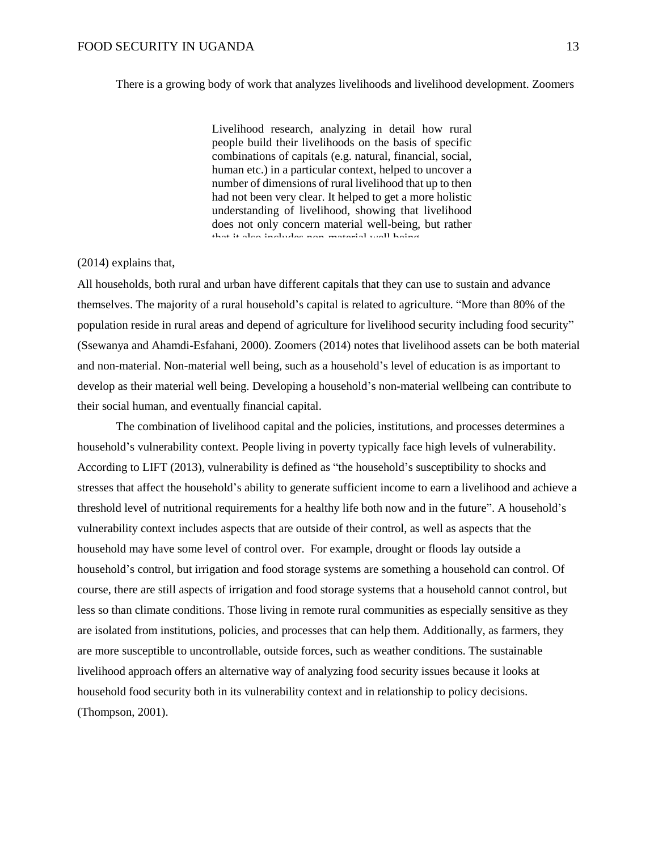#### There is a growing body of work that analyzes livelihoods and livelihood development. Zoomers

Livelihood research, analyzing in detail how rural people build their livelihoods on the basis of specific combinations of capitals (e.g. natural, financial, social, human etc.) in a particular context, helped to uncover a number of dimensions of rural livelihood that up to then had not been very clear. It helped to get a more holistic understanding of livelihood, showing that livelihood does not only concern material well-being, but rather that it also includes non-material well being.

#### (2014) explains that,

All households, both rural and urban have different capitals that they can use to sustain and advance themselves. The majority of a rural household's capital is related to agriculture. "More than 80% of the population reside in rural areas and depend of agriculture for livelihood security including food security" (Ssewanya and Ahamdi-Esfahani, 2000). Zoomers (2014) notes that livelihood assets can be both material and non-material. Non-material well being, such as a household's level of education is as important to develop as their material well being. Developing a household's non-material wellbeing can contribute to their social human, and eventually financial capital.

The combination of livelihood capital and the policies, institutions, and processes determines a household's vulnerability context. People living in poverty typically face high levels of vulnerability. According to LIFT (2013), vulnerability is defined as "the household's susceptibility to shocks and stresses that affect the household's ability to generate sufficient income to earn a livelihood and achieve a threshold level of nutritional requirements for a healthy life both now and in the future". A household's vulnerability context includes aspects that are outside of their control, as well as aspects that the household may have some level of control over. For example, drought or floods lay outside a household's control, but irrigation and food storage systems are something a household can control. Of course, there are still aspects of irrigation and food storage systems that a household cannot control, but less so than climate conditions. Those living in remote rural communities as especially sensitive as they are isolated from institutions, policies, and processes that can help them. Additionally, as farmers, they are more susceptible to uncontrollable, outside forces, such as weather conditions. The sustainable livelihood approach offers an alternative way of analyzing food security issues because it looks at household food security both in its vulnerability context and in relationship to policy decisions. (Thompson, 2001).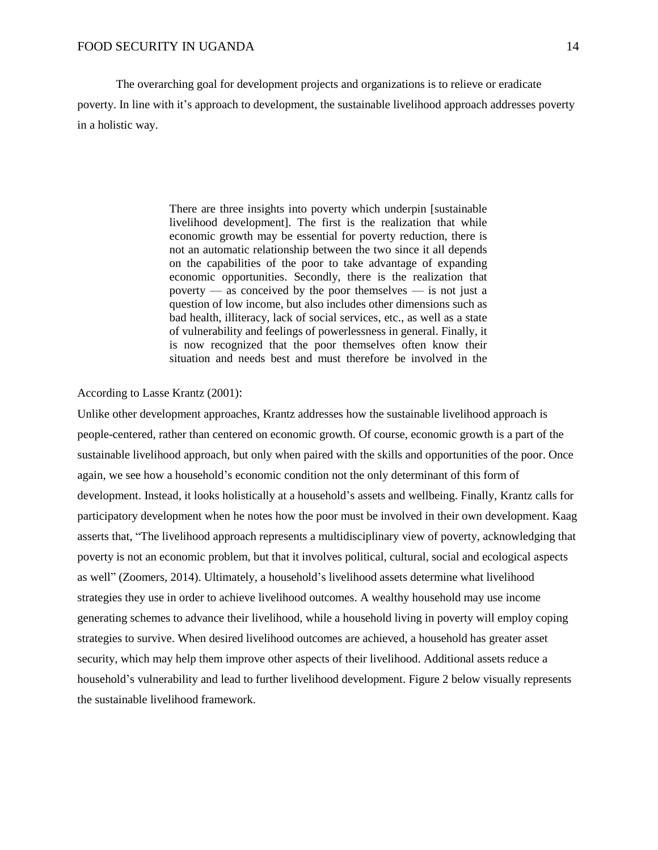The overarching goal for development projects and organizations is to relieve or eradicate poverty. In line with it's approach to development, the sustainable livelihood approach addresses poverty in a holistic way.

> There are three insights into poverty which underpin [sustainable livelihood development]. The first is the realization that while economic growth may be essential for poverty reduction, there is not an automatic relationship between the two since it all depends on the capabilities of the poor to take advantage of expanding economic opportunities. Secondly, there is the realization that poverty — as conceived by the poor themselves — is not just a question of low income, but also includes other dimensions such as bad health, illiteracy, lack of social services, etc., as well as a state of vulnerability and feelings of powerlessness in general. Finally, it is now recognized that the poor themselves often know their situation and needs best and must therefore be involved in the

According to Lasse Krantz (2001):

Unlike other development approaches, Krantz addresses how the sustainable livelihood approach is people-centered, rather than centered on economic growth. Of course, economic growth is a part of the sustainable livelihood approach, but only when paired with the skills and opportunities of the poor. Once again, we see how a household's economic condition not the only determinant of this form of development. Instead, it looks holistically at a household's assets and wellbeing. Finally, Krantz calls for participatory development when he notes how the poor must be involved in their own development. Kaag asserts that, "The livelihood approach represents a multidisciplinary view of poverty, acknowledging that poverty is not an economic problem, but that it involves political, cultural, social and ecological aspects as well" (Zoomers, 2014). Ultimately, a household's livelihood assets determine what livelihood strategies they use in order to achieve livelihood outcomes. A wealthy household may use income generating schemes to advance their livelihood, while a household living in poverty will employ coping strategies to survive. When desired livelihood outcomes are achieved, a household has greater asset security, which may help them improve other aspects of their livelihood. Additional assets reduce a household's vulnerability and lead to further livelihood development. Figure 2 below visually represents the sustainable livelihood framework.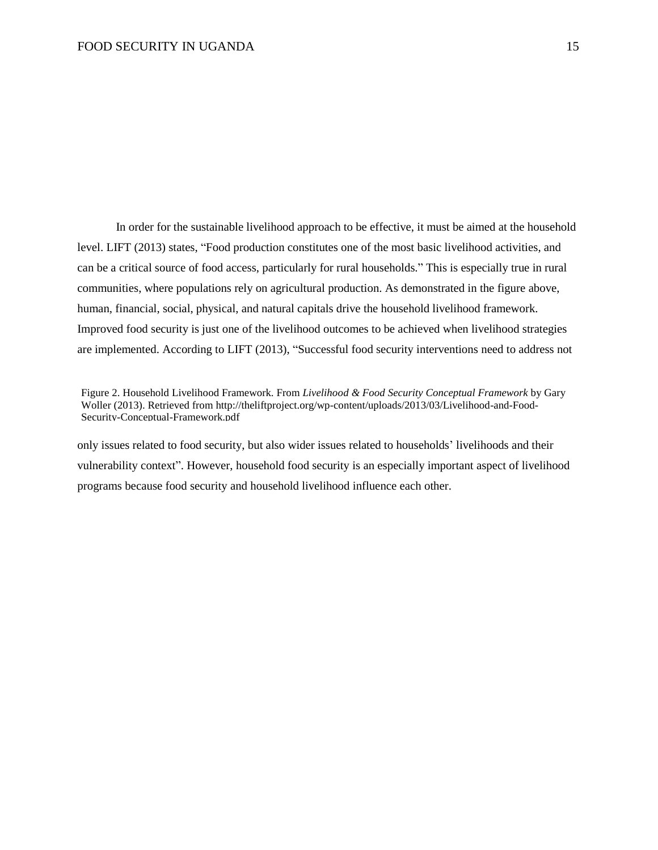In order for the sustainable livelihood approach to be effective, it must be aimed at the household level. LIFT (2013) states, "Food production constitutes one of the most basic livelihood activities, and can be a critical source of food access, particularly for rural households." This is especially true in rural communities, where populations rely on agricultural production. As demonstrated in the figure above, human, financial, social, physical, and natural capitals drive the household livelihood framework. Improved food security is just one of the livelihood outcomes to be achieved when livelihood strategies are implemented. According to LIFT (2013), "Successful food security interventions need to address not

only issues related to food security, but also wider issues related to households' livelihoods and their vulnerability context". However, household food security is an especially important aspect of livelihood programs because food security and household livelihood influence each other.

Figure 2. Household Livelihood Framework. From *Livelihood & Food Security Conceptual Framework* by Gary Woller (2013). Retrieved from http://theliftproject.org/wp-content/uploads/2013/03/Livelihood-and-Food-Security-Conceptual-Framework.pdf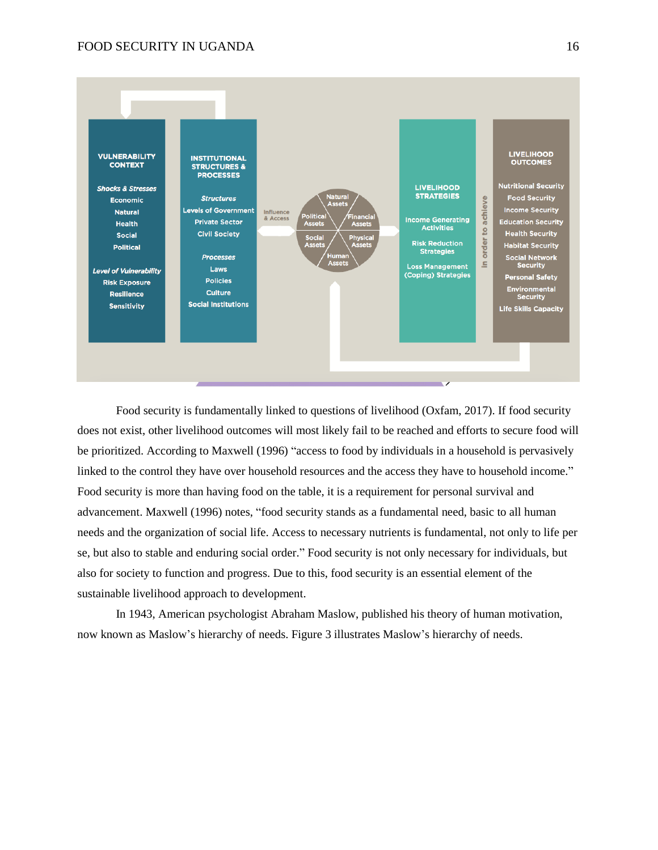

Food security is fundamentally linked to questions of livelihood (Oxfam, 2017). If food security does not exist, other livelihood outcomes will most likely fail to be reached and efforts to secure food will be prioritized. According to Maxwell (1996) "access to food by individuals in a household is pervasively linked to the control they have over household resources and the access they have to household income." Food security is more than having food on the table, it is a requirement for personal survival and advancement. Maxwell (1996) notes, "food security stands as a fundamental need, basic to all human needs and the organization of social life. Access to necessary nutrients is fundamental, not only to life per se, but also to stable and enduring social order." Food security is not only necessary for individuals, but also for society to function and progress. Due to this, food security is an essential element of the sustainable livelihood approach to development.

In 1943, American psychologist Abraham Maslow, published his theory of human motivation, now known as Maslow's hierarchy of needs. Figure 3 illustrates Maslow's hierarchy of needs.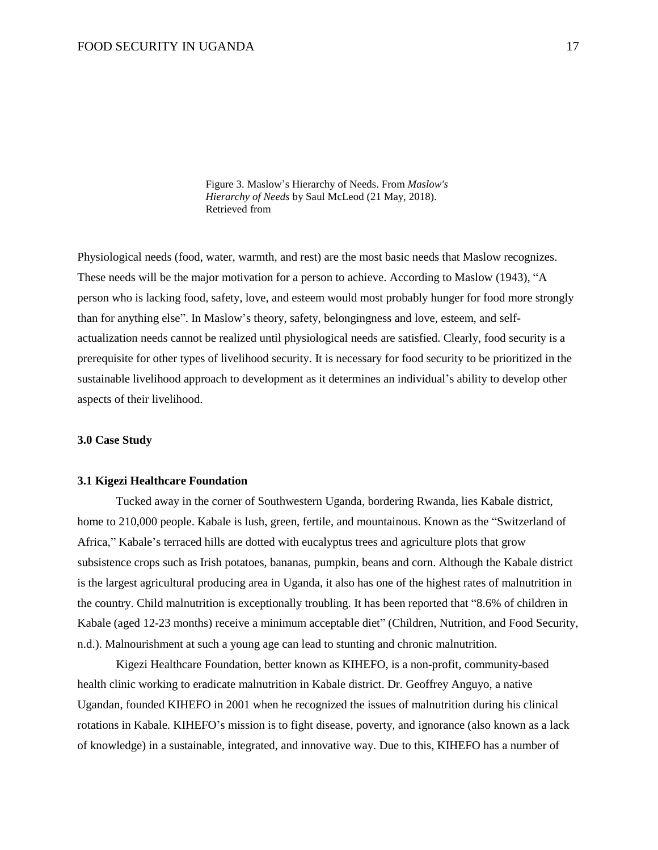Figure 3. Maslow's Hierarchy of Needs. From *Maslow's Hierarchy of Needs* by Saul McLeod (21 May, 2018). Retrieved from

Physiological needs (food, water, warmth, and rest) are the most basic needs that Maslow recognizes. These needs will be the major motivation for a person to achieve. According to Maslow (1943), "A person who is lacking food, safety, love, and esteem would most probably hunger for food more strongly than for anything else". In Maslow's theory, safety, belongingness and love, esteem, and selfactualization needs cannot be realized until physiological needs are satisfied. Clearly, food security is a prerequisite for other types of livelihood security. It is necessary for food security to be prioritized in the sustainable livelihood approach to development as it determines an individual's ability to develop other aspects of their livelihood.

#### **3.0 Case Study**

#### **3.1 Kigezi Healthcare Foundation**

Tucked away in the corner of Southwestern Uganda, bordering Rwanda, lies Kabale district, home to 210,000 people. Kabale is lush, green, fertile, and mountainous. Known as the "Switzerland of Africa," Kabale's terraced hills are dotted with eucalyptus trees and agriculture plots that grow subsistence crops such as Irish potatoes, bananas, pumpkin, beans and corn. Although the Kabale district is the largest agricultural producing area in Uganda, it also has one of the highest rates of malnutrition in the country. Child malnutrition is exceptionally troubling. It has been reported that "8.6% of children in Kabale (aged 12-23 months) receive a minimum acceptable diet" (Children, Nutrition, and Food Security, n.d.). Malnourishment at such a young age can lead to stunting and chronic malnutrition.

Kigezi Healthcare Foundation, better known as KIHEFO, is a non-profit, community-based health clinic working to eradicate malnutrition in Kabale district. Dr. Geoffrey Anguyo, a native Ugandan, founded KIHEFO in 2001 when he recognized the issues of malnutrition during his clinical rotations in Kabale. KIHEFO's mission is to fight disease, poverty, and ignorance (also known as a lack of knowledge) in a sustainable, integrated, and innovative way. Due to this, KIHEFO has a number of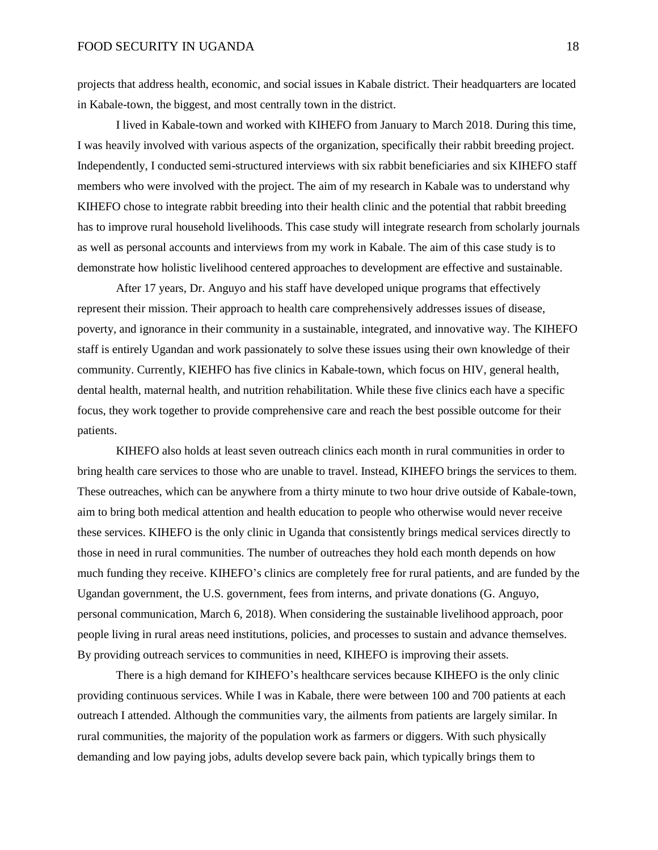projects that address health, economic, and social issues in Kabale district. Their headquarters are located in Kabale-town, the biggest, and most centrally town in the district.

I lived in Kabale-town and worked with KIHEFO from January to March 2018. During this time, I was heavily involved with various aspects of the organization, specifically their rabbit breeding project. Independently, I conducted semi-structured interviews with six rabbit beneficiaries and six KIHEFO staff members who were involved with the project. The aim of my research in Kabale was to understand why KIHEFO chose to integrate rabbit breeding into their health clinic and the potential that rabbit breeding has to improve rural household livelihoods. This case study will integrate research from scholarly journals as well as personal accounts and interviews from my work in Kabale. The aim of this case study is to demonstrate how holistic livelihood centered approaches to development are effective and sustainable.

After 17 years, Dr. Anguyo and his staff have developed unique programs that effectively represent their mission. Their approach to health care comprehensively addresses issues of disease, poverty, and ignorance in their community in a sustainable, integrated, and innovative way. The KIHEFO staff is entirely Ugandan and work passionately to solve these issues using their own knowledge of their community. Currently, KIEHFO has five clinics in Kabale-town, which focus on HIV, general health, dental health, maternal health, and nutrition rehabilitation. While these five clinics each have a specific focus, they work together to provide comprehensive care and reach the best possible outcome for their patients.

KIHEFO also holds at least seven outreach clinics each month in rural communities in order to bring health care services to those who are unable to travel. Instead, KIHEFO brings the services to them. These outreaches, which can be anywhere from a thirty minute to two hour drive outside of Kabale-town, aim to bring both medical attention and health education to people who otherwise would never receive these services. KIHEFO is the only clinic in Uganda that consistently brings medical services directly to those in need in rural communities. The number of outreaches they hold each month depends on how much funding they receive. KIHEFO's clinics are completely free for rural patients, and are funded by the Ugandan government, the U.S. government, fees from interns, and private donations (G. Anguyo, personal communication, March 6, 2018). When considering the sustainable livelihood approach, poor people living in rural areas need institutions, policies, and processes to sustain and advance themselves. By providing outreach services to communities in need, KIHEFO is improving their assets.

There is a high demand for KIHEFO's healthcare services because KIHEFO is the only clinic providing continuous services. While I was in Kabale, there were between 100 and 700 patients at each outreach I attended. Although the communities vary, the ailments from patients are largely similar. In rural communities, the majority of the population work as farmers or diggers. With such physically demanding and low paying jobs, adults develop severe back pain, which typically brings them to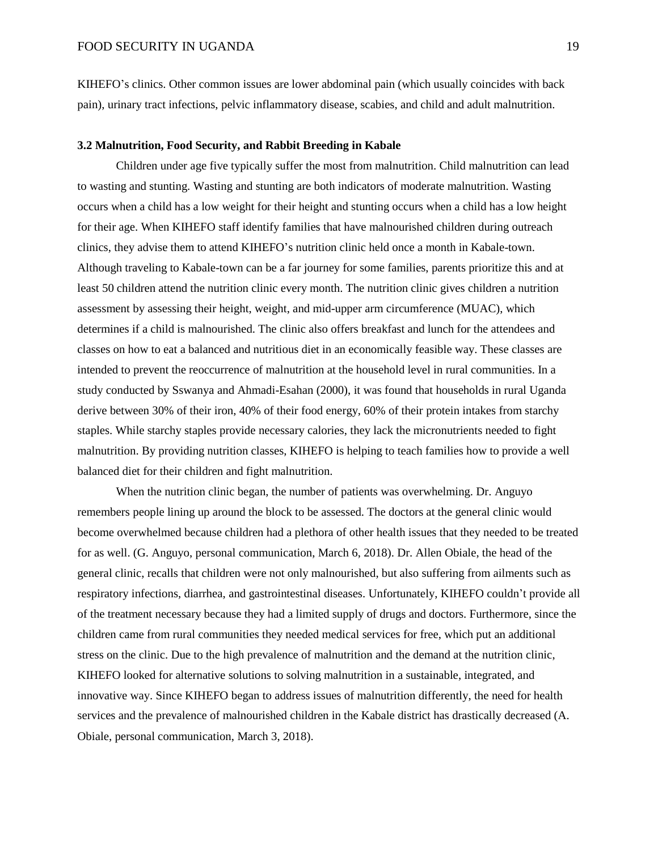KIHEFO's clinics. Other common issues are lower abdominal pain (which usually coincides with back pain), urinary tract infections, pelvic inflammatory disease, scabies, and child and adult malnutrition.

#### **3.2 Malnutrition, Food Security, and Rabbit Breeding in Kabale**

Children under age five typically suffer the most from malnutrition. Child malnutrition can lead to wasting and stunting. Wasting and stunting are both indicators of moderate malnutrition. Wasting occurs when a child has a low weight for their height and stunting occurs when a child has a low height for their age. When KIHEFO staff identify families that have malnourished children during outreach clinics, they advise them to attend KIHEFO's nutrition clinic held once a month in Kabale-town. Although traveling to Kabale-town can be a far journey for some families, parents prioritize this and at least 50 children attend the nutrition clinic every month. The nutrition clinic gives children a nutrition assessment by assessing their height, weight, and mid-upper arm circumference (MUAC), which determines if a child is malnourished. The clinic also offers breakfast and lunch for the attendees and classes on how to eat a balanced and nutritious diet in an economically feasible way. These classes are intended to prevent the reoccurrence of malnutrition at the household level in rural communities. In a study conducted by Sswanya and Ahmadi-Esahan (2000), it was found that households in rural Uganda derive between 30% of their iron, 40% of their food energy, 60% of their protein intakes from starchy staples. While starchy staples provide necessary calories, they lack the micronutrients needed to fight malnutrition. By providing nutrition classes, KIHEFO is helping to teach families how to provide a well balanced diet for their children and fight malnutrition.

When the nutrition clinic began, the number of patients was overwhelming. Dr. Anguyo remembers people lining up around the block to be assessed. The doctors at the general clinic would become overwhelmed because children had a plethora of other health issues that they needed to be treated for as well. (G. Anguyo, personal communication, March 6, 2018). Dr. Allen Obiale, the head of the general clinic, recalls that children were not only malnourished, but also suffering from ailments such as respiratory infections, diarrhea, and gastrointestinal diseases. Unfortunately, KIHEFO couldn't provide all of the treatment necessary because they had a limited supply of drugs and doctors. Furthermore, since the children came from rural communities they needed medical services for free, which put an additional stress on the clinic. Due to the high prevalence of malnutrition and the demand at the nutrition clinic, KIHEFO looked for alternative solutions to solving malnutrition in a sustainable, integrated, and innovative way. Since KIHEFO began to address issues of malnutrition differently, the need for health services and the prevalence of malnourished children in the Kabale district has drastically decreased (A. Obiale, personal communication, March 3, 2018).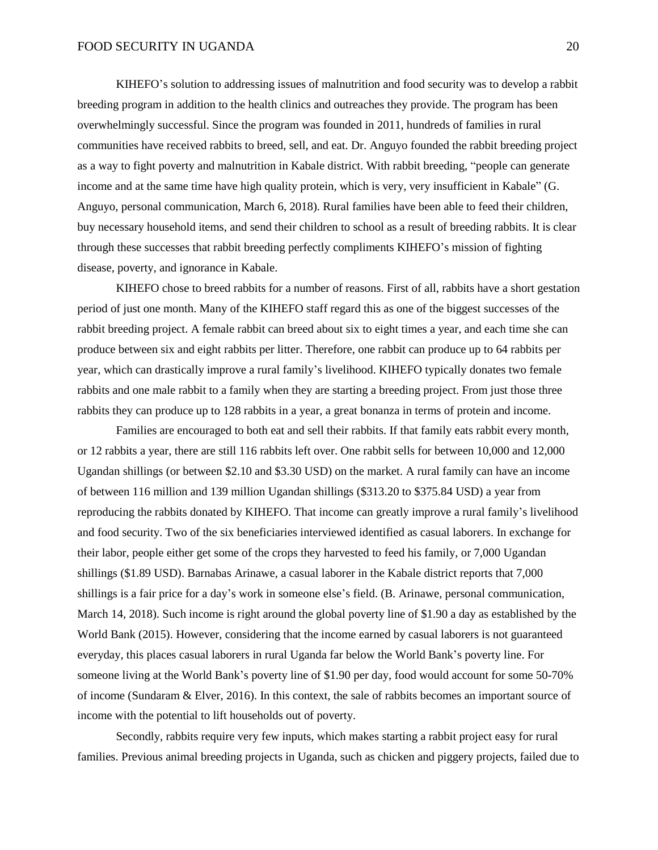KIHEFO's solution to addressing issues of malnutrition and food security was to develop a rabbit breeding program in addition to the health clinics and outreaches they provide. The program has been overwhelmingly successful. Since the program was founded in 2011, hundreds of families in rural communities have received rabbits to breed, sell, and eat. Dr. Anguyo founded the rabbit breeding project as a way to fight poverty and malnutrition in Kabale district. With rabbit breeding, "people can generate income and at the same time have high quality protein, which is very, very insufficient in Kabale" (G. Anguyo, personal communication, March 6, 2018). Rural families have been able to feed their children, buy necessary household items, and send their children to school as a result of breeding rabbits. It is clear through these successes that rabbit breeding perfectly compliments KIHEFO's mission of fighting disease, poverty, and ignorance in Kabale.

KIHEFO chose to breed rabbits for a number of reasons. First of all, rabbits have a short gestation period of just one month. Many of the KIHEFO staff regard this as one of the biggest successes of the rabbit breeding project. A female rabbit can breed about six to eight times a year, and each time she can produce between six and eight rabbits per litter. Therefore, one rabbit can produce up to 64 rabbits per year, which can drastically improve a rural family's livelihood. KIHEFO typically donates two female rabbits and one male rabbit to a family when they are starting a breeding project. From just those three rabbits they can produce up to 128 rabbits in a year, a great bonanza in terms of protein and income.

Families are encouraged to both eat and sell their rabbits. If that family eats rabbit every month, or 12 rabbits a year, there are still 116 rabbits left over. One rabbit sells for between 10,000 and 12,000 Ugandan shillings (or between \$2.10 and \$3.30 USD) on the market. A rural family can have an income of between 116 million and 139 million Ugandan shillings (\$313.20 to \$375.84 USD) a year from reproducing the rabbits donated by KIHEFO. That income can greatly improve a rural family's livelihood and food security. Two of the six beneficiaries interviewed identified as casual laborers. In exchange for their labor, people either get some of the crops they harvested to feed his family, or 7,000 Ugandan shillings (\$1.89 USD). Barnabas Arinawe, a casual laborer in the Kabale district reports that 7,000 shillings is a fair price for a day's work in someone else's field. (B. Arinawe, personal communication, March 14, 2018). Such income is right around the global poverty line of \$1.90 a day as established by the World Bank (2015). However, considering that the income earned by casual laborers is not guaranteed everyday, this places casual laborers in rural Uganda far below the World Bank's poverty line. For someone living at the World Bank's poverty line of \$1.90 per day, food would account for some 50-70% of income (Sundaram & Elver, 2016). In this context, the sale of rabbits becomes an important source of income with the potential to lift households out of poverty.

Secondly, rabbits require very few inputs, which makes starting a rabbit project easy for rural families. Previous animal breeding projects in Uganda, such as chicken and piggery projects, failed due to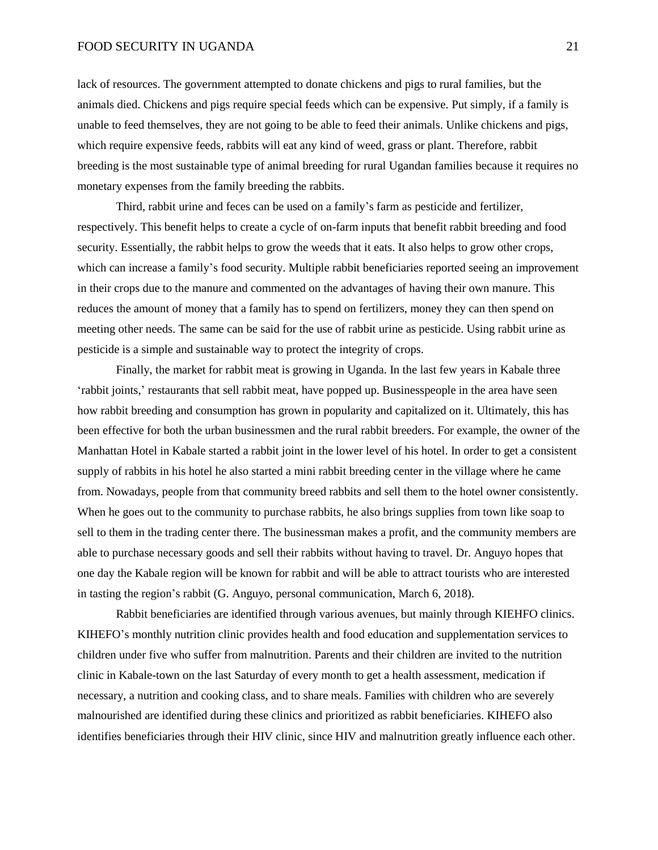lack of resources. The government attempted to donate chickens and pigs to rural families, but the animals died. Chickens and pigs require special feeds which can be expensive. Put simply, if a family is unable to feed themselves, they are not going to be able to feed their animals. Unlike chickens and pigs, which require expensive feeds, rabbits will eat any kind of weed, grass or plant. Therefore, rabbit breeding is the most sustainable type of animal breeding for rural Ugandan families because it requires no monetary expenses from the family breeding the rabbits.

Third, rabbit urine and feces can be used on a family's farm as pesticide and fertilizer, respectively. This benefit helps to create a cycle of on-farm inputs that benefit rabbit breeding and food security. Essentially, the rabbit helps to grow the weeds that it eats. It also helps to grow other crops, which can increase a family's food security. Multiple rabbit beneficiaries reported seeing an improvement in their crops due to the manure and commented on the advantages of having their own manure. This reduces the amount of money that a family has to spend on fertilizers, money they can then spend on meeting other needs. The same can be said for the use of rabbit urine as pesticide. Using rabbit urine as pesticide is a simple and sustainable way to protect the integrity of crops.

Finally, the market for rabbit meat is growing in Uganda. In the last few years in Kabale three 'rabbit joints,' restaurants that sell rabbit meat, have popped up. Businesspeople in the area have seen how rabbit breeding and consumption has grown in popularity and capitalized on it. Ultimately, this has been effective for both the urban businessmen and the rural rabbit breeders. For example, the owner of the Manhattan Hotel in Kabale started a rabbit joint in the lower level of his hotel. In order to get a consistent supply of rabbits in his hotel he also started a mini rabbit breeding center in the village where he came from. Nowadays, people from that community breed rabbits and sell them to the hotel owner consistently. When he goes out to the community to purchase rabbits, he also brings supplies from town like soap to sell to them in the trading center there. The businessman makes a profit, and the community members are able to purchase necessary goods and sell their rabbits without having to travel. Dr. Anguyo hopes that one day the Kabale region will be known for rabbit and will be able to attract tourists who are interested in tasting the region's rabbit (G. Anguyo, personal communication, March 6, 2018).

Rabbit beneficiaries are identified through various avenues, but mainly through KIEHFO clinics. KIHEFO's monthly nutrition clinic provides health and food education and supplementation services to children under five who suffer from malnutrition. Parents and their children are invited to the nutrition clinic in Kabale-town on the last Saturday of every month to get a health assessment, medication if necessary, a nutrition and cooking class, and to share meals. Families with children who are severely malnourished are identified during these clinics and prioritized as rabbit beneficiaries. KIHEFO also identifies beneficiaries through their HIV clinic, since HIV and malnutrition greatly influence each other.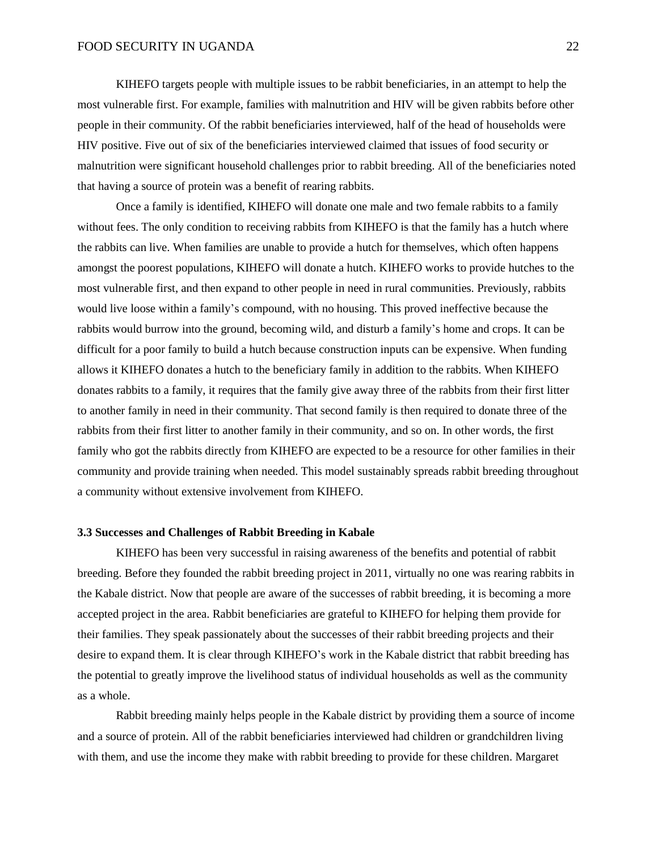KIHEFO targets people with multiple issues to be rabbit beneficiaries, in an attempt to help the most vulnerable first. For example, families with malnutrition and HIV will be given rabbits before other people in their community. Of the rabbit beneficiaries interviewed, half of the head of households were HIV positive. Five out of six of the beneficiaries interviewed claimed that issues of food security or malnutrition were significant household challenges prior to rabbit breeding. All of the beneficiaries noted that having a source of protein was a benefit of rearing rabbits.

Once a family is identified, KIHEFO will donate one male and two female rabbits to a family without fees. The only condition to receiving rabbits from KIHEFO is that the family has a hutch where the rabbits can live. When families are unable to provide a hutch for themselves, which often happens amongst the poorest populations, KIHEFO will donate a hutch. KIHEFO works to provide hutches to the most vulnerable first, and then expand to other people in need in rural communities. Previously, rabbits would live loose within a family's compound, with no housing. This proved ineffective because the rabbits would burrow into the ground, becoming wild, and disturb a family's home and crops. It can be difficult for a poor family to build a hutch because construction inputs can be expensive. When funding allows it KIHEFO donates a hutch to the beneficiary family in addition to the rabbits. When KIHEFO donates rabbits to a family, it requires that the family give away three of the rabbits from their first litter to another family in need in their community. That second family is then required to donate three of the rabbits from their first litter to another family in their community, and so on. In other words, the first family who got the rabbits directly from KIHEFO are expected to be a resource for other families in their community and provide training when needed. This model sustainably spreads rabbit breeding throughout a community without extensive involvement from KIHEFO.

#### **3.3 Successes and Challenges of Rabbit Breeding in Kabale**

KIHEFO has been very successful in raising awareness of the benefits and potential of rabbit breeding. Before they founded the rabbit breeding project in 2011, virtually no one was rearing rabbits in the Kabale district. Now that people are aware of the successes of rabbit breeding, it is becoming a more accepted project in the area. Rabbit beneficiaries are grateful to KIHEFO for helping them provide for their families. They speak passionately about the successes of their rabbit breeding projects and their desire to expand them. It is clear through KIHEFO's work in the Kabale district that rabbit breeding has the potential to greatly improve the livelihood status of individual households as well as the community as a whole.

Rabbit breeding mainly helps people in the Kabale district by providing them a source of income and a source of protein. All of the rabbit beneficiaries interviewed had children or grandchildren living with them, and use the income they make with rabbit breeding to provide for these children. Margaret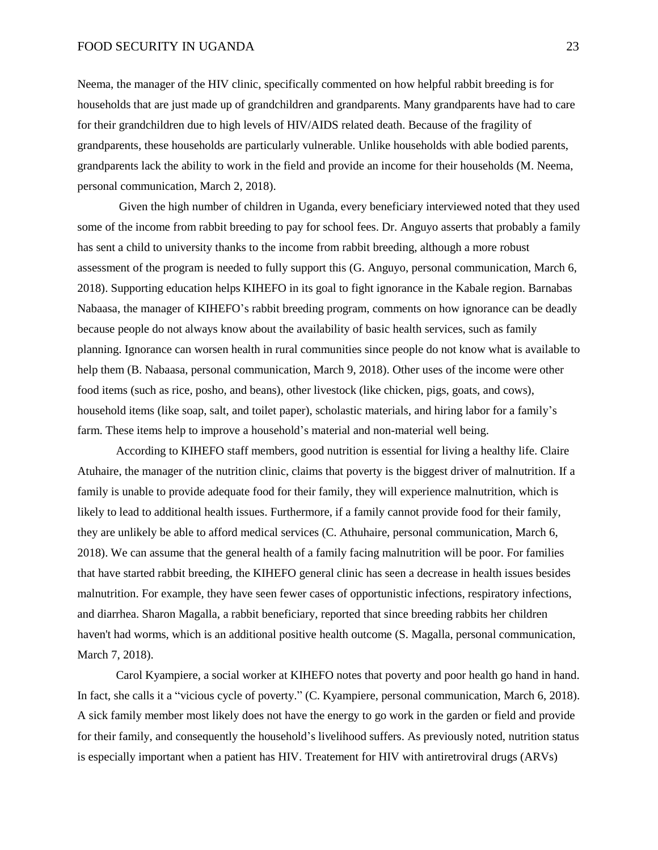Neema, the manager of the HIV clinic, specifically commented on how helpful rabbit breeding is for households that are just made up of grandchildren and grandparents. Many grandparents have had to care for their grandchildren due to high levels of HIV/AIDS related death. Because of the fragility of grandparents, these households are particularly vulnerable. Unlike households with able bodied parents, grandparents lack the ability to work in the field and provide an income for their households (M. Neema, personal communication, March 2, 2018).

Given the high number of children in Uganda, every beneficiary interviewed noted that they used some of the income from rabbit breeding to pay for school fees. Dr. Anguyo asserts that probably a family has sent a child to university thanks to the income from rabbit breeding, although a more robust assessment of the program is needed to fully support this (G. Anguyo, personal communication, March 6, 2018). Supporting education helps KIHEFO in its goal to fight ignorance in the Kabale region. Barnabas Nabaasa, the manager of KIHEFO's rabbit breeding program, comments on how ignorance can be deadly because people do not always know about the availability of basic health services, such as family planning. Ignorance can worsen health in rural communities since people do not know what is available to help them (B. Nabaasa, personal communication, March 9, 2018). Other uses of the income were other food items (such as rice, posho, and beans), other livestock (like chicken, pigs, goats, and cows), household items (like soap, salt, and toilet paper), scholastic materials, and hiring labor for a family's farm. These items help to improve a household's material and non-material well being.

According to KIHEFO staff members, good nutrition is essential for living a healthy life. Claire Atuhaire, the manager of the nutrition clinic, claims that poverty is the biggest driver of malnutrition. If a family is unable to provide adequate food for their family, they will experience malnutrition, which is likely to lead to additional health issues. Furthermore, if a family cannot provide food for their family, they are unlikely be able to afford medical services (C. Athuhaire, personal communication, March 6, 2018). We can assume that the general health of a family facing malnutrition will be poor. For families that have started rabbit breeding, the KIHEFO general clinic has seen a decrease in health issues besides malnutrition. For example, they have seen fewer cases of opportunistic infections, respiratory infections, and diarrhea. Sharon Magalla, a rabbit beneficiary, reported that since breeding rabbits her children haven't had worms, which is an additional positive health outcome (S. Magalla, personal communication, March 7, 2018).

Carol Kyampiere, a social worker at KIHEFO notes that poverty and poor health go hand in hand. In fact, she calls it a "vicious cycle of poverty." (C. Kyampiere, personal communication, March 6, 2018). A sick family member most likely does not have the energy to go work in the garden or field and provide for their family, and consequently the household's livelihood suffers. As previously noted, nutrition status is especially important when a patient has HIV. Treatement for HIV with antiretroviral drugs (ARVs)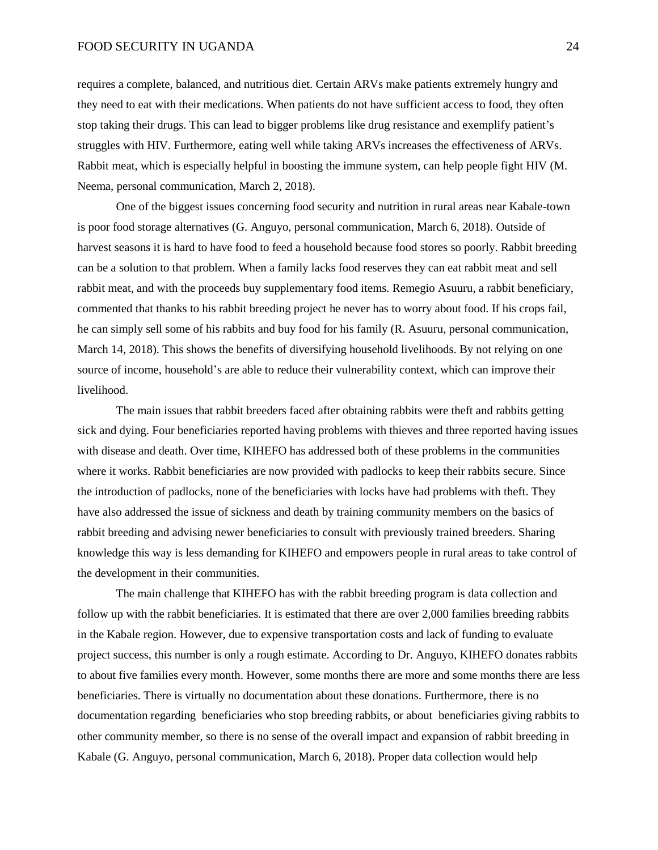requires a complete, balanced, and nutritious diet. Certain ARVs make patients extremely hungry and they need to eat with their medications. When patients do not have sufficient access to food, they often stop taking their drugs. This can lead to bigger problems like drug resistance and exemplify patient's struggles with HIV. Furthermore, eating well while taking ARVs increases the effectiveness of ARVs. Rabbit meat, which is especially helpful in boosting the immune system, can help people fight HIV (M. Neema, personal communication, March 2, 2018).

One of the biggest issues concerning food security and nutrition in rural areas near Kabale-town is poor food storage alternatives (G. Anguyo, personal communication, March 6, 2018). Outside of harvest seasons it is hard to have food to feed a household because food stores so poorly. Rabbit breeding can be a solution to that problem. When a family lacks food reserves they can eat rabbit meat and sell rabbit meat, and with the proceeds buy supplementary food items. Remegio Asuuru, a rabbit beneficiary, commented that thanks to his rabbit breeding project he never has to worry about food. If his crops fail, he can simply sell some of his rabbits and buy food for his family (R. Asuuru, personal communication, March 14, 2018). This shows the benefits of diversifying household livelihoods. By not relying on one source of income, household's are able to reduce their vulnerability context, which can improve their livelihood.

The main issues that rabbit breeders faced after obtaining rabbits were theft and rabbits getting sick and dying. Four beneficiaries reported having problems with thieves and three reported having issues with disease and death. Over time, KIHEFO has addressed both of these problems in the communities where it works. Rabbit beneficiaries are now provided with padlocks to keep their rabbits secure. Since the introduction of padlocks, none of the beneficiaries with locks have had problems with theft. They have also addressed the issue of sickness and death by training community members on the basics of rabbit breeding and advising newer beneficiaries to consult with previously trained breeders. Sharing knowledge this way is less demanding for KIHEFO and empowers people in rural areas to take control of the development in their communities.

The main challenge that KIHEFO has with the rabbit breeding program is data collection and follow up with the rabbit beneficiaries. It is estimated that there are over 2,000 families breeding rabbits in the Kabale region. However, due to expensive transportation costs and lack of funding to evaluate project success, this number is only a rough estimate. According to Dr. Anguyo, KIHEFO donates rabbits to about five families every month. However, some months there are more and some months there are less beneficiaries. There is virtually no documentation about these donations. Furthermore, there is no documentation regarding beneficiaries who stop breeding rabbits, or about beneficiaries giving rabbits to other community member, so there is no sense of the overall impact and expansion of rabbit breeding in Kabale (G. Anguyo, personal communication, March 6, 2018). Proper data collection would help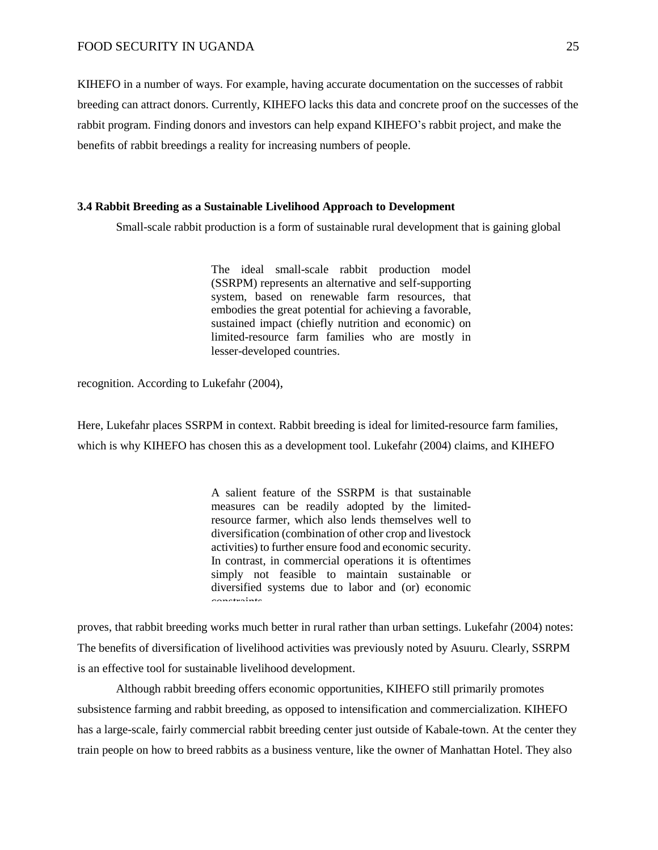KIHEFO in a number of ways. For example, having accurate documentation on the successes of rabbit breeding can attract donors. Currently, KIHEFO lacks this data and concrete proof on the successes of the rabbit program. Finding donors and investors can help expand KIHEFO's rabbit project, and make the benefits of rabbit breedings a reality for increasing numbers of people.

#### **3.4 Rabbit Breeding as a Sustainable Livelihood Approach to Development**

Small-scale rabbit production is a form of sustainable rural development that is gaining global

The ideal small-scale rabbit production model (SSRPM) represents an alternative and self-supporting system, based on renewable farm resources, that embodies the great potential for achieving a favorable, sustained impact (chiefly nutrition and economic) on limited-resource farm families who are mostly in lesser-developed countries.

recognition. According to Lukefahr (2004),

Here, Lukefahr places SSRPM in context. Rabbit breeding is ideal for limited-resource farm families, which is why KIHEFO has chosen this as a development tool. Lukefahr (2004) claims, and KIHEFO

> A salient feature of the SSRPM is that sustainable measures can be readily adopted by the limitedresource farmer, which also lends themselves well to diversification (combination of other crop and livestock activities) to further ensure food and economic security. In contrast, in commercial operations it is oftentimes simply not feasible to maintain sustainable or diversified systems due to labor and (or) economic constraints.

proves, that rabbit breeding works much better in rural rather than urban settings. Lukefahr (2004) notes: The benefits of diversification of livelihood activities was previously noted by Asuuru. Clearly, SSRPM is an effective tool for sustainable livelihood development.

Although rabbit breeding offers economic opportunities, KIHEFO still primarily promotes subsistence farming and rabbit breeding, as opposed to intensification and commercialization. KIHEFO has a large-scale, fairly commercial rabbit breeding center just outside of Kabale-town. At the center they train people on how to breed rabbits as a business venture, like the owner of Manhattan Hotel. They also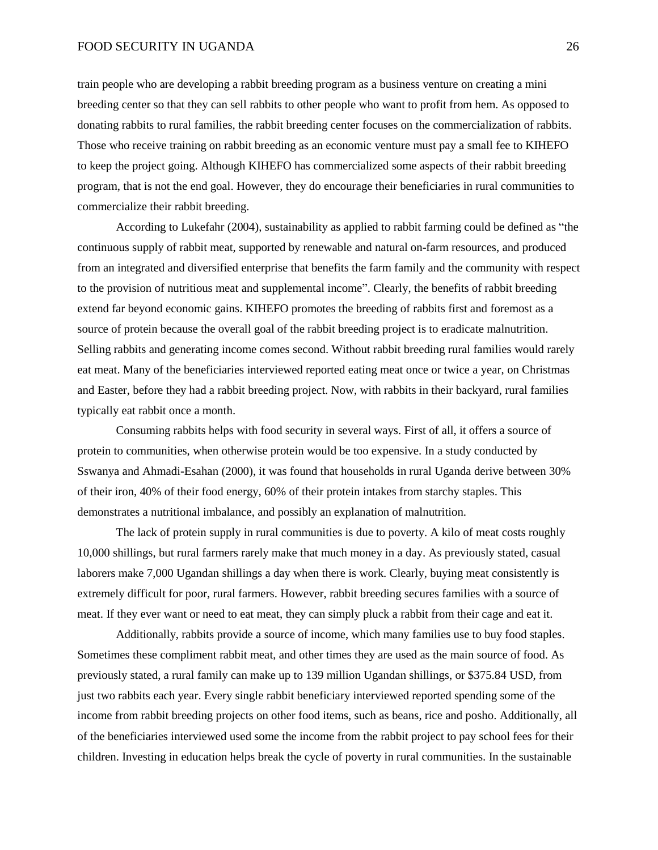train people who are developing a rabbit breeding program as a business venture on creating a mini breeding center so that they can sell rabbits to other people who want to profit from hem. As opposed to donating rabbits to rural families, the rabbit breeding center focuses on the commercialization of rabbits. Those who receive training on rabbit breeding as an economic venture must pay a small fee to KIHEFO to keep the project going. Although KIHEFO has commercialized some aspects of their rabbit breeding program, that is not the end goal. However, they do encourage their beneficiaries in rural communities to commercialize their rabbit breeding.

According to Lukefahr (2004), sustainability as applied to rabbit farming could be defined as "the continuous supply of rabbit meat, supported by renewable and natural on-farm resources, and produced from an integrated and diversified enterprise that benefits the farm family and the community with respect to the provision of nutritious meat and supplemental income". Clearly, the benefits of rabbit breeding extend far beyond economic gains. KIHEFO promotes the breeding of rabbits first and foremost as a source of protein because the overall goal of the rabbit breeding project is to eradicate malnutrition. Selling rabbits and generating income comes second. Without rabbit breeding rural families would rarely eat meat. Many of the beneficiaries interviewed reported eating meat once or twice a year, on Christmas and Easter, before they had a rabbit breeding project. Now, with rabbits in their backyard, rural families typically eat rabbit once a month.

Consuming rabbits helps with food security in several ways. First of all, it offers a source of protein to communities, when otherwise protein would be too expensive. In a study conducted by Sswanya and Ahmadi-Esahan (2000), it was found that households in rural Uganda derive between 30% of their iron, 40% of their food energy, 60% of their protein intakes from starchy staples. This demonstrates a nutritional imbalance, and possibly an explanation of malnutrition.

The lack of protein supply in rural communities is due to poverty. A kilo of meat costs roughly 10,000 shillings, but rural farmers rarely make that much money in a day. As previously stated, casual laborers make 7,000 Ugandan shillings a day when there is work. Clearly, buying meat consistently is extremely difficult for poor, rural farmers. However, rabbit breeding secures families with a source of meat. If they ever want or need to eat meat, they can simply pluck a rabbit from their cage and eat it.

Additionally, rabbits provide a source of income, which many families use to buy food staples. Sometimes these compliment rabbit meat, and other times they are used as the main source of food. As previously stated, a rural family can make up to 139 million Ugandan shillings, or \$375.84 USD, from just two rabbits each year. Every single rabbit beneficiary interviewed reported spending some of the income from rabbit breeding projects on other food items, such as beans, rice and posho. Additionally, all of the beneficiaries interviewed used some the income from the rabbit project to pay school fees for their children. Investing in education helps break the cycle of poverty in rural communities. In the sustainable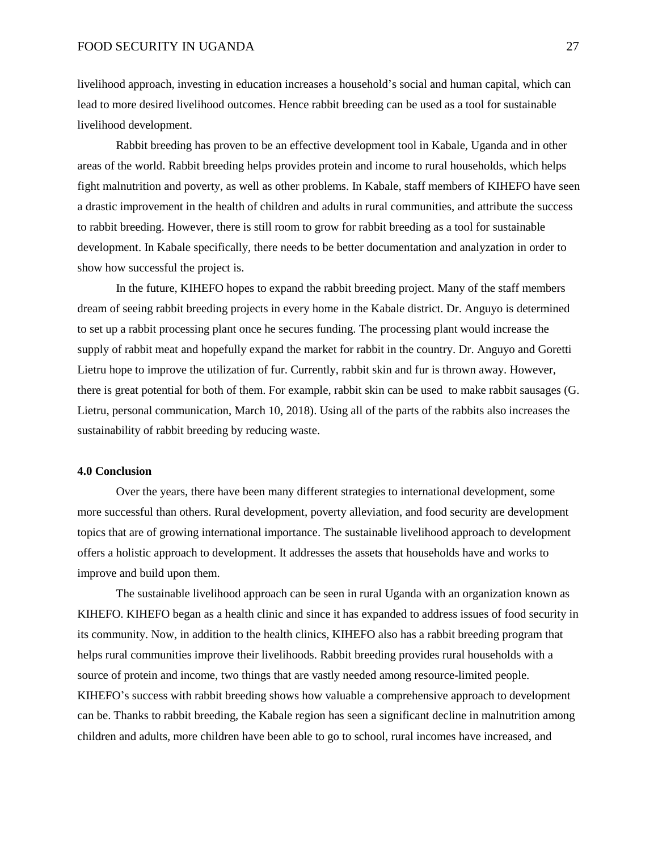livelihood approach, investing in education increases a household's social and human capital, which can lead to more desired livelihood outcomes. Hence rabbit breeding can be used as a tool for sustainable livelihood development.

Rabbit breeding has proven to be an effective development tool in Kabale, Uganda and in other areas of the world. Rabbit breeding helps provides protein and income to rural households, which helps fight malnutrition and poverty, as well as other problems. In Kabale, staff members of KIHEFO have seen a drastic improvement in the health of children and adults in rural communities, and attribute the success to rabbit breeding. However, there is still room to grow for rabbit breeding as a tool for sustainable development. In Kabale specifically, there needs to be better documentation and analyzation in order to show how successful the project is.

In the future, KIHEFO hopes to expand the rabbit breeding project. Many of the staff members dream of seeing rabbit breeding projects in every home in the Kabale district. Dr. Anguyo is determined to set up a rabbit processing plant once he secures funding. The processing plant would increase the supply of rabbit meat and hopefully expand the market for rabbit in the country. Dr. Anguyo and Goretti Lietru hope to improve the utilization of fur. Currently, rabbit skin and fur is thrown away. However, there is great potential for both of them. For example, rabbit skin can be used to make rabbit sausages (G. Lietru, personal communication, March 10, 2018). Using all of the parts of the rabbits also increases the sustainability of rabbit breeding by reducing waste.

#### **4.0 Conclusion**

Over the years, there have been many different strategies to international development, some more successful than others. Rural development, poverty alleviation, and food security are development topics that are of growing international importance. The sustainable livelihood approach to development offers a holistic approach to development. It addresses the assets that households have and works to improve and build upon them.

The sustainable livelihood approach can be seen in rural Uganda with an organization known as KIHEFO. KIHEFO began as a health clinic and since it has expanded to address issues of food security in its community. Now, in addition to the health clinics, KIHEFO also has a rabbit breeding program that helps rural communities improve their livelihoods. Rabbit breeding provides rural households with a source of protein and income, two things that are vastly needed among resource-limited people. KIHEFO's success with rabbit breeding shows how valuable a comprehensive approach to development can be. Thanks to rabbit breeding, the Kabale region has seen a significant decline in malnutrition among children and adults, more children have been able to go to school, rural incomes have increased, and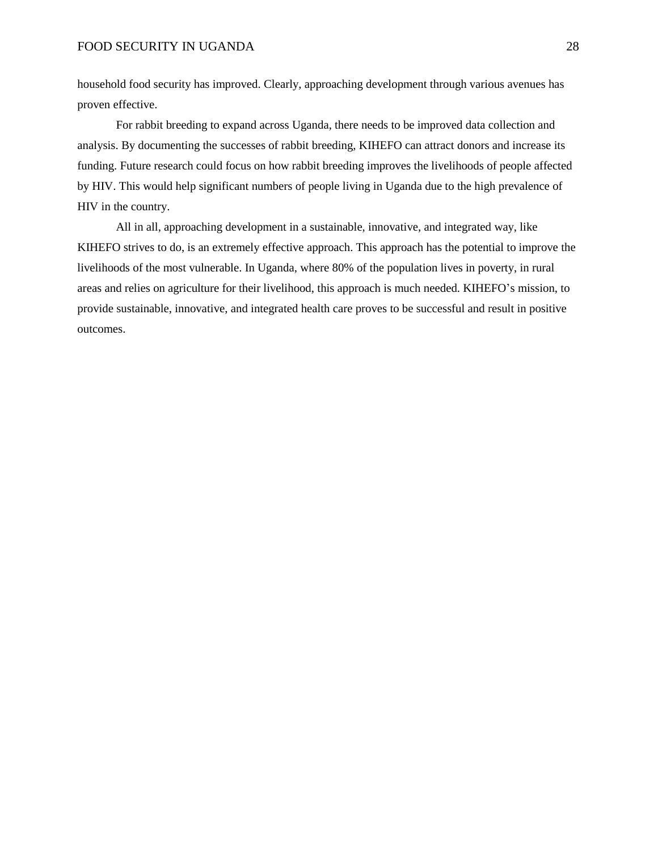household food security has improved. Clearly, approaching development through various avenues has proven effective.

For rabbit breeding to expand across Uganda, there needs to be improved data collection and analysis. By documenting the successes of rabbit breeding, KIHEFO can attract donors and increase its funding. Future research could focus on how rabbit breeding improves the livelihoods of people affected by HIV. This would help significant numbers of people living in Uganda due to the high prevalence of HIV in the country.

All in all, approaching development in a sustainable, innovative, and integrated way, like KIHEFO strives to do, is an extremely effective approach. This approach has the potential to improve the livelihoods of the most vulnerable. In Uganda, where 80% of the population lives in poverty, in rural areas and relies on agriculture for their livelihood, this approach is much needed. KIHEFO's mission, to provide sustainable, innovative, and integrated health care proves to be successful and result in positive outcomes.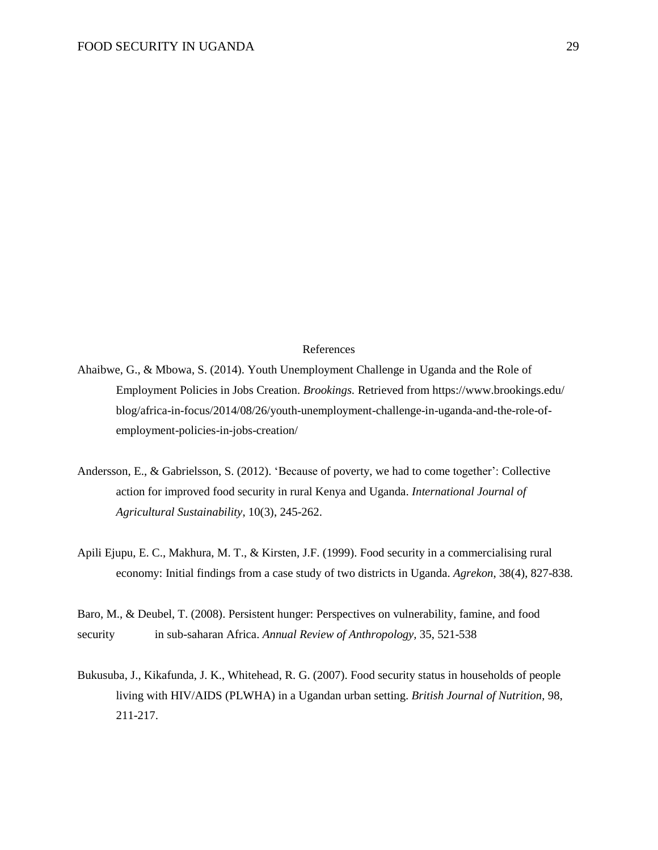# References

Ahaibwe, G., & Mbowa, S. (2014). Youth Unemployment Challenge in Uganda and the Role of Employment Policies in Jobs Creation. *Brookings.* Retrieved from <https://www.brookings.edu/> blog/africa-in-focus/2014/08/26/youth-unemployment-challenge-in-uganda-and-the-role-ofemployment-policies-in-jobs-creation/

- Andersson, E., & Gabrielsson, S. (2012). 'Because of poverty, we had to come together': Collective action for improved food security in rural Kenya and Uganda. *International Journal of Agricultural Sustainability*, 10(3), 245-262.
- Apili Ejupu, E. C., Makhura, M. T., & Kirsten, J.F. (1999). Food security in a commercialising rural economy: Initial findings from a case study of two districts in Uganda. *Agrekon*, 38(4), 827-838.

Baro, M., & Deubel, T. (2008). Persistent hunger: Perspectives on vulnerability, famine, and food security in sub-saharan Africa. *Annual Review of Anthropology,* 35, 521-538

Bukusuba, J., Kikafunda, J. K., Whitehead, R. G. (2007). Food security status in households of people living with HIV/AIDS (PLWHA) in a Ugandan urban setting. *British Journal of Nutrition*, 98, 211-217.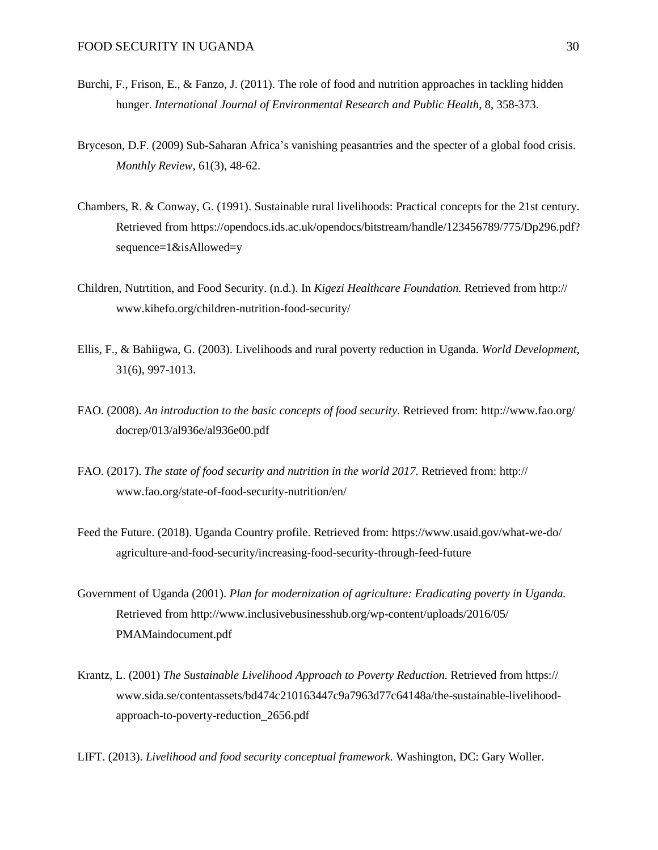- Burchi, F., Frison, E., & Fanzo, J. (2011). The role of food and nutrition approaches in tackling hidden hunger. *International Journal of Environmental Research and Public Health*, 8, 358-373.
- [Bryceson,](http://eprints.gla.ac.uk/view/author/4411.html) D.F. (2009) Sub-Saharan Africa's vanishing peasantries and the specter of a global food crisis. *[Monthly](http://eprints.gla.ac.uk/view/journal_volume/Monthly_Review.html) Review*, 61(3), 48-62.
- Chambers, R. & Conway, G. (1991). Sustainable rural livelihoods: Practical concepts for the 21st century. Retrieved from <https://opendocs.ids.ac.uk/opendocs/bitstream/handle/123456789/775/Dp296.pdf?> sequence=1&isAllowed=y
- Children, Nutrtition, and Food Security. (n.d.). In *Kigezi Healthcare Foundation.* Retrieved from http:// www.kihefo.org/children-nutrition-food-security/
- Ellis, F., & Bahiigwa, G. (2003). Livelihoods and rural poverty reduction in Uganda. *World Development,* 31(6), 997-1013.
- FAO. (2008). *An introduction to the basic concepts of food security.* Retrieved from: <http://www.fao.org/> docrep/013/al936e/al936e00.pdf
- FAO. (2017). *The state of food security and nutrition in the world 2017.* Retrieved from: http:// www.fao.org/state-of-food-security-nutrition/en/
- Feed the Future. (2018). Uganda Country profile. Retrieved from: <https://www.usaid.gov/what-we-do/> agriculture-and-food-security/increasing-food-security-through-feed-future
- Government of Uganda (2001). *Plan for modernization of agriculture: Eradicating poverty in Uganda.* Retrieved from <http://www.inclusivebusinesshub.org/wp-content/uploads/2016/05/> PMAMaindocument.pdf
- Krantz, L. (2001) *The Sustainable Livelihood Approach to Poverty Reduction.* Retrieved from https:// [www.sida.se/contentassets/bd474c210163447c9a7963d77c64148a/the-sustainable-livelihood](http://www.sida.se/contentassets/bd474c210163447c9a7963d77c64148a/the-sustainable-livelihood-)approach-to-poverty-reduction\_2656.pdf

LIFT. (2013). *Livelihood and food security conceptual framework.* Washington, DC: Gary Woller.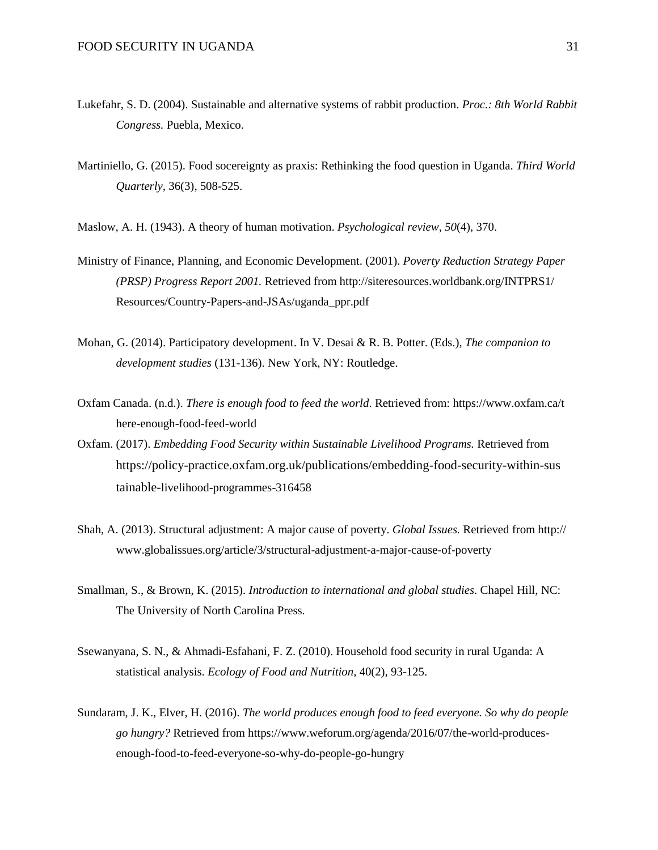- Lukefahr, S. D. (2004). Sustainable and alternative systems of rabbit production. *Proc.: 8th World Rabbit Congress.* Puebla, Mexico.
- Martiniello, G. (2015). Food socereignty as praxis: Rethinking the food question in Uganda. *Third World Quarterly*, 36(3), 508-525.
- Maslow, A. H. (1943). A theory of human motivation. *Psychological review*, *50*(4), 370.
- Ministry of Finance, Planning, and Economic Development. (2001). *Poverty Reduction Strategy Paper (PRSP) Progress Report 2001.* Retrieved from <http://siteresources.worldbank.org/INTPRS1/> Resources/Country-Papers-and-JSAs/uganda\_ppr.pdf
- Mohan, G. (2014). Participatory development. In V. Desai & R. B. Potter. (Eds.), *The companion to development studies* (131-136). New York, NY: Routledge.
- Oxfam Canada. (n.d.). *There is enough food to feed the world*. Retrieved from: https://www.oxfam.ca/t here-enough-food-feed-world
- Oxfam. (2017). *Embedding Food Security within Sustainable Livelihood Programs.* Retrieved from https://policy-practice.oxfam.org.uk/publications/embedding-food-security-within-sus tainable-livelihood-programmes-316458
- Shah, A. (2013). Structural adjustment: A major cause of poverty. *Global Issues.* Retrieved from http:// www.globalissues.org/article/3/structural-adjustment-a-major-cause-of-poverty
- Smallman, S., & Brown, K. (2015). *Introduction to international and global studies.* Chapel Hill, NC: The University of North Carolina Press.
- Ssewanyana, S. N., & Ahmadi-Esfahani, F. Z. (2010). Household food security in rural Uganda: A statistical analysis. *Ecology of Food and Nutrition*, 40(2), 93-125.
- Sundaram, J. K., Elver, H. (2016). *The world produces enough food to feed everyone. So why do people go hungry?* Retrieved from [https://www.weforum.org/agenda/2016/07/the-world-produces](https://www.weforum.org/agenda/2016/07/the-world-produces-)enough-food-to-feed-everyone-so-why-do-people-go-hungry